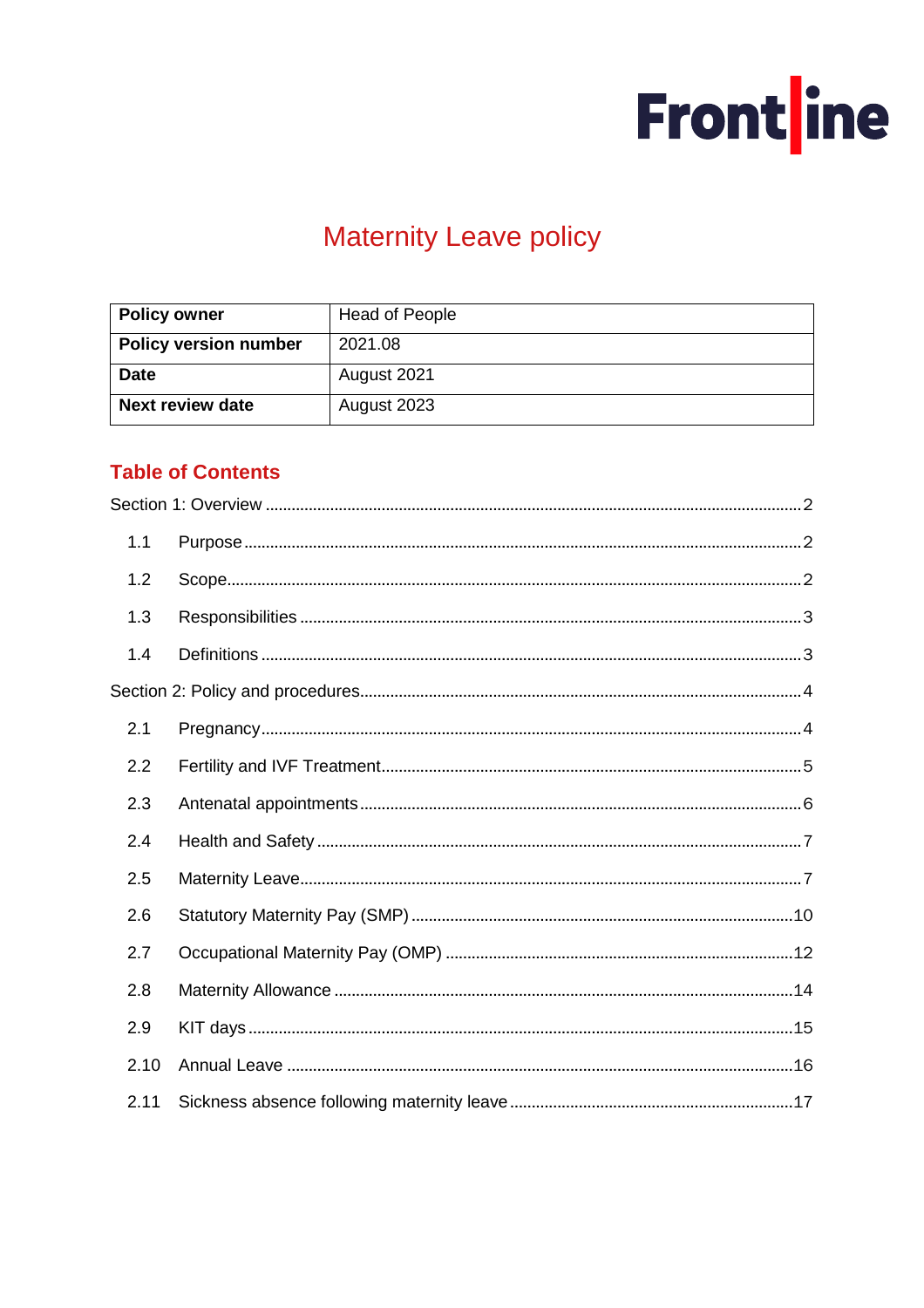

# **Maternity Leave policy**

| <b>Policy owner</b>          | <b>Head of People</b> |  |
|------------------------------|-----------------------|--|
| <b>Policy version number</b> | 2021.08               |  |
| <b>Date</b>                  | August 2021           |  |
| <b>Next review date</b>      | August 2023           |  |

# **Table of Contents**

| 1.1  |  |
|------|--|
| 1.2  |  |
| 1.3  |  |
| 1.4  |  |
|      |  |
| 2.1  |  |
| 2.2  |  |
| 2.3  |  |
| 2.4  |  |
| 2.5  |  |
| 2.6  |  |
| 2.7  |  |
| 2.8  |  |
| 2.9  |  |
| 2.10 |  |
| 2.11 |  |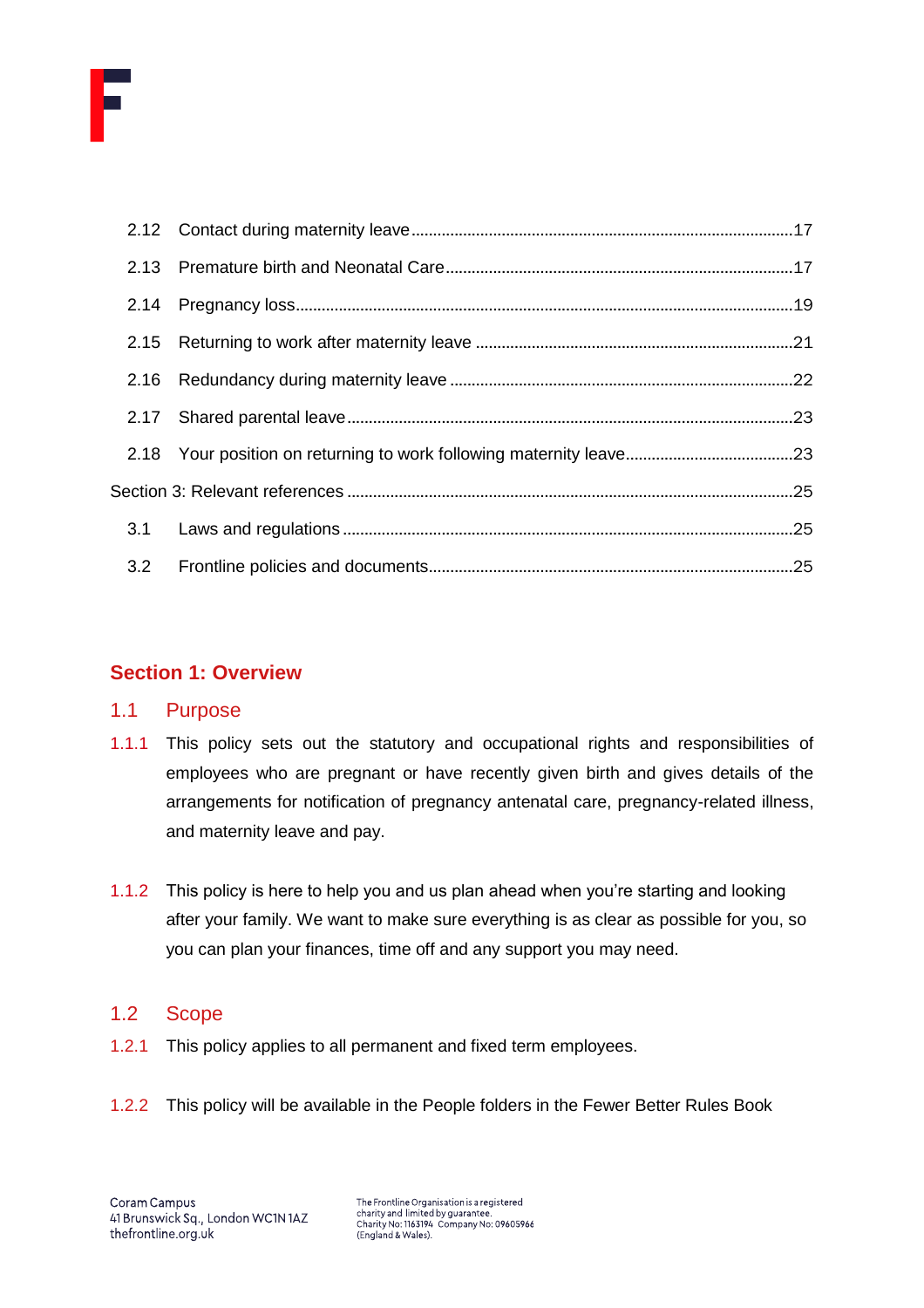

# <span id="page-1-0"></span>**Section 1: Overview**

# <span id="page-1-1"></span>1.1 Purpose

- 1.1.1 This policy sets out the statutory and occupational rights and responsibilities of employees who are pregnant or have recently given birth and gives details of the arrangements for notification of pregnancy antenatal care, pregnancy-related illness, and maternity leave and pay.
- 1.1.2 This policy is here to help you and us plan ahead when you're starting and looking after your family. We want to make sure everything is as clear as possible for you, so you can plan your finances, time off and any support you may need.

# <span id="page-1-2"></span>1.2 Scope

- 1.2.1 This policy applies to all permanent and fixed term employees.
- 1.2.2 This policy will be available in the People folders in the Fewer Better Rules Book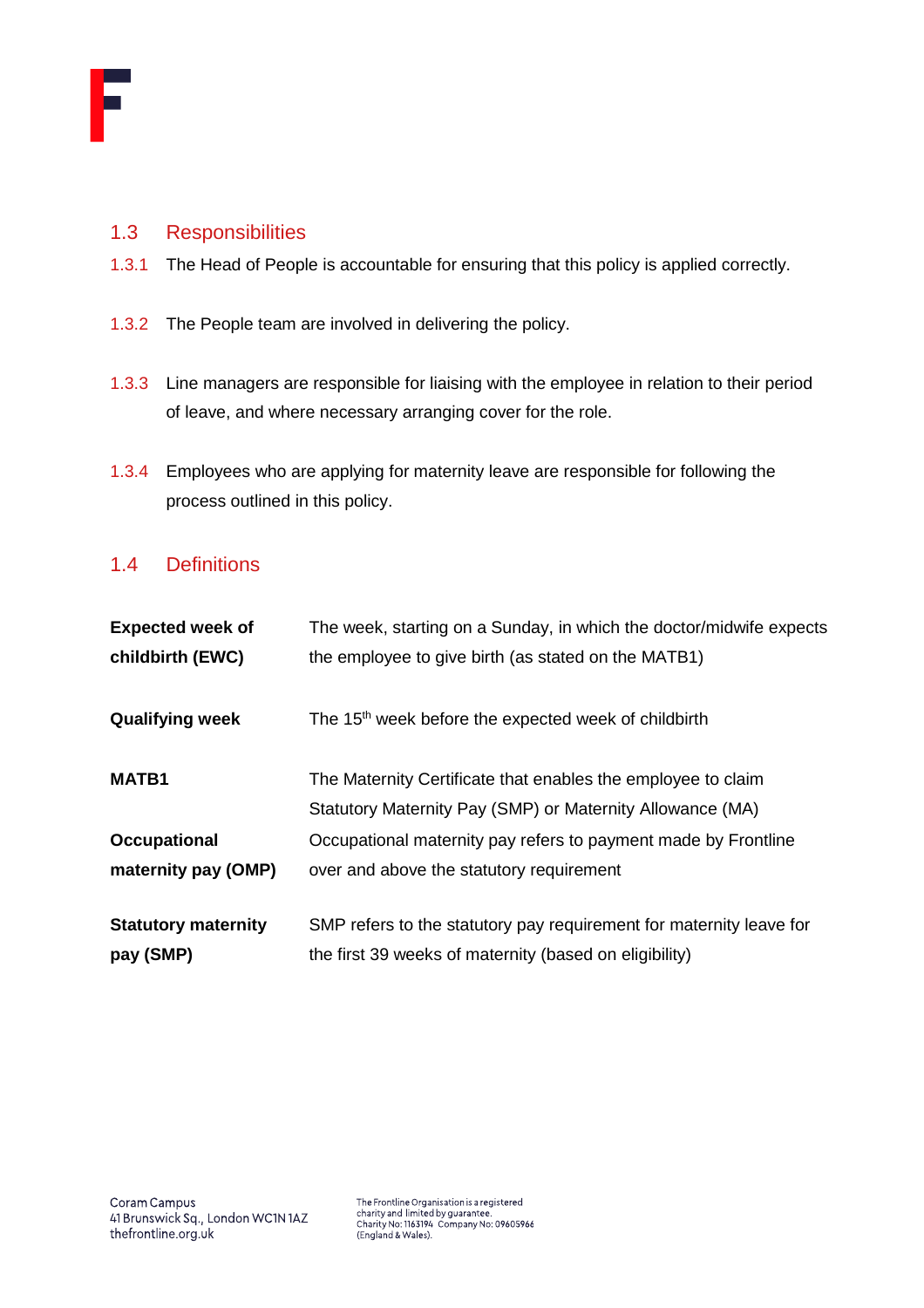

# <span id="page-2-0"></span>1.3 Responsibilities

- 1.3.1 The Head of People is accountable for ensuring that this policy is applied correctly.
- 1.3.2 The People team are involved in delivering the policy.
- 1.3.3 Line managers are responsible for liaising with the employee in relation to their period of leave, and where necessary arranging cover for the role.
- 1.3.4 Employees who are applying for maternity leave are responsible for following the process outlined in this policy.

# <span id="page-2-1"></span>1.4 Definitions

| <b>Expected week of</b>    | The week, starting on a Sunday, in which the doctor/midwife expects |
|----------------------------|---------------------------------------------------------------------|
| childbirth (EWC)           | the employee to give birth (as stated on the MATB1)                 |
| <b>Qualifying week</b>     | The 15 <sup>th</sup> week before the expected week of childbirth    |
| <b>MATB1</b>               | The Maternity Certificate that enables the employee to claim        |
|                            | Statutory Maternity Pay (SMP) or Maternity Allowance (MA)           |
| <b>Occupational</b>        | Occupational maternity pay refers to payment made by Frontline      |
| maternity pay (OMP)        | over and above the statutory requirement                            |
| <b>Statutory maternity</b> | SMP refers to the statutory pay requirement for maternity leave for |
| pay (SMP)                  | the first 39 weeks of maternity (based on eligibility)              |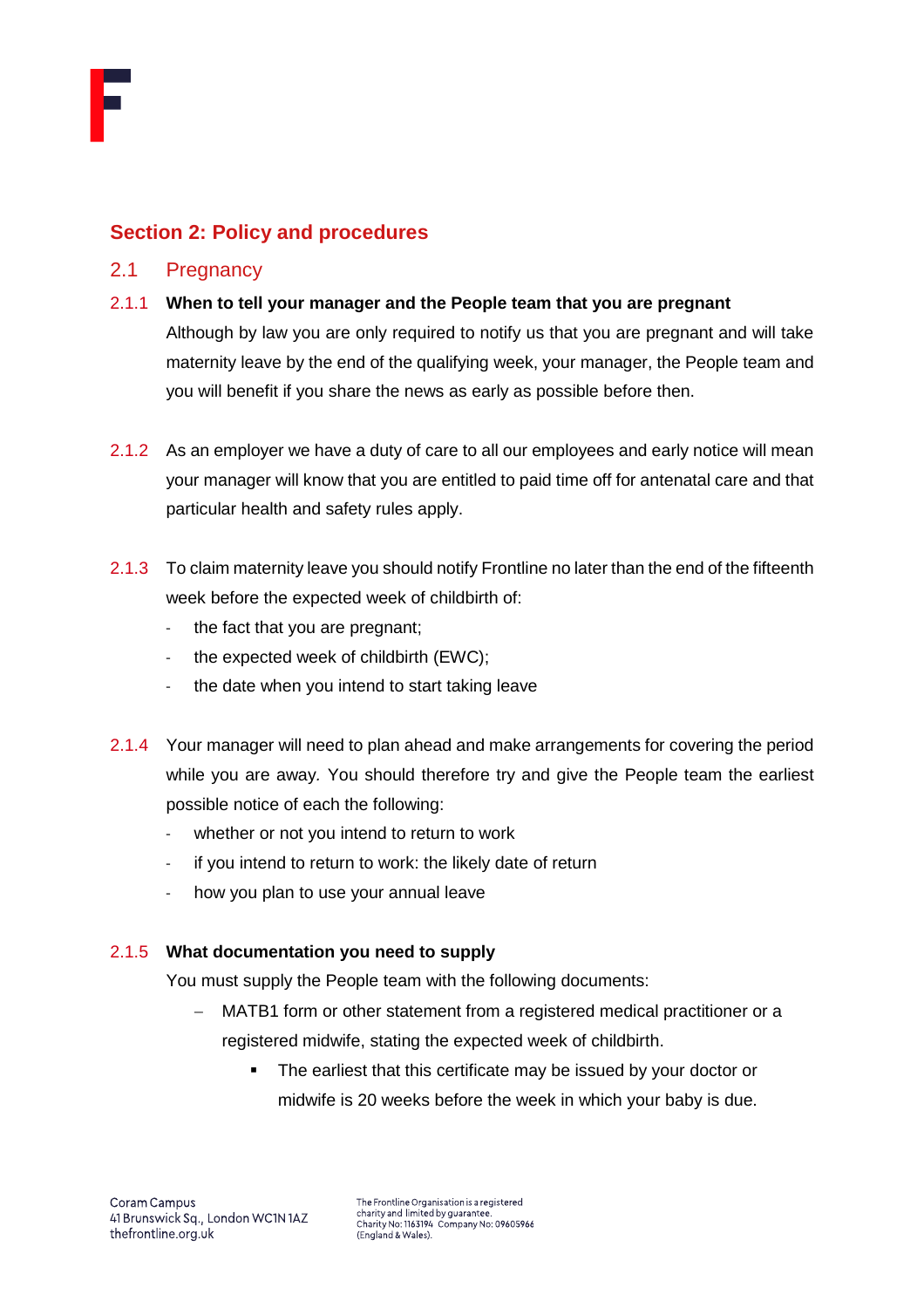

# <span id="page-3-0"></span>**Section 2: Policy and procedures**

# <span id="page-3-1"></span>2.1 Pregnancy

2.1.1 **When to tell your manager and the People team that you are pregnant**

Although by law you are only required to notify us that you are pregnant and will take maternity leave by the end of the qualifying week, your manager, the People team and you will benefit if you share the news as early as possible before then.

- 2.1.2 As an employer we have a duty of care to all our employees and early notice will mean your manager will know that you are entitled to paid time off for antenatal care and that particular health and safety rules apply.
- 2.1.3 To claim maternity leave you should notify Frontline no later than the end of the fifteenth week before the expected week of childbirth of:
	- the fact that you are pregnant;
	- the expected week of childbirth (EWC);
	- the date when you intend to start taking leave
- 2.1.4 Your manager will need to plan ahead and make arrangements for covering the period while you are away*.* You should therefore try and give the People team the earliest possible notice of each the following:
	- whether or not you intend to return to work
	- if you intend to return to work: the likely date of return
	- how you plan to use your annual leave

#### 2.1.5 **What documentation you need to supply**

You must supply the People team with the following documents:

- MATB1 form or other statement from a registered medical practitioner or a registered midwife, stating the expected week of childbirth.
	- The earliest that this certificate may be issued by your doctor or midwife is 20 weeks before the week in which your baby is due.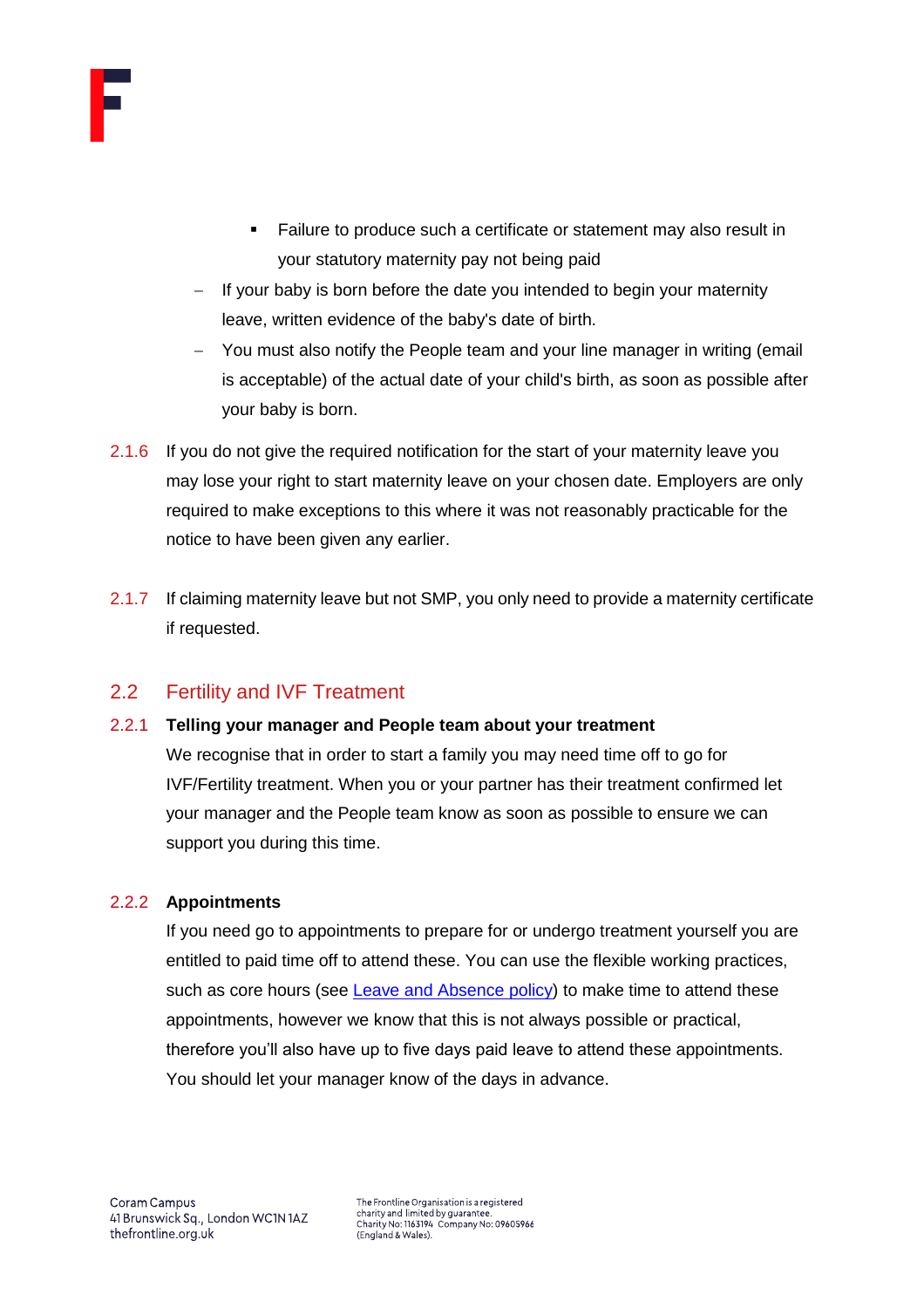

- Failure to produce such a certificate or statement may also result in your statutory maternity pay not being paid
- If your baby is born before the date you intended to begin your maternity leave, written evidence of the baby's date of birth.
- − You must also notify the People team and your line manager in writing (email is acceptable) of the actual date of your child's birth, as soon as possible after your baby is born.
- 2.1.6 If you do not give the required notification for the start of your maternity leave you may lose your right to start maternity leave on your chosen date. Employers are only required to make exceptions to this where it was not reasonably practicable for the notice to have been given any earlier.
- 2.1.7 If claiming maternity leave but not SMP, you only need to provide a maternity certificate if requested.

# <span id="page-4-0"></span>2.2 Fertility and IVF Treatment

# 2.2.1 **Telling your manager and People team about your treatment**

We recognise that in order to start a family you may need time off to go for IVF/Fertility treatment. When you or your partner has their treatment confirmed let your manager and the People team know as soon as possible to ensure we can support you during this time.

# 2.2.2 **Appointments**

If you need go to appointments to prepare for or undergo treatment yourself you are entitled to paid time off to attend these. You can use the flexible working practices, such as core hours (see [Leave and Absence policy\)](https://thefrontline.sharepoint.com/sites/FBRB/Shared%20Documents/Operations/People/General/Leave%20and%20Absence%20Policy%20-%202021.04.pdf) to make time to attend these appointments, however we know that this is not always possible or practical, therefore you'll also have up to five days paid leave to attend these appointments. You should let your manager know of the days in advance.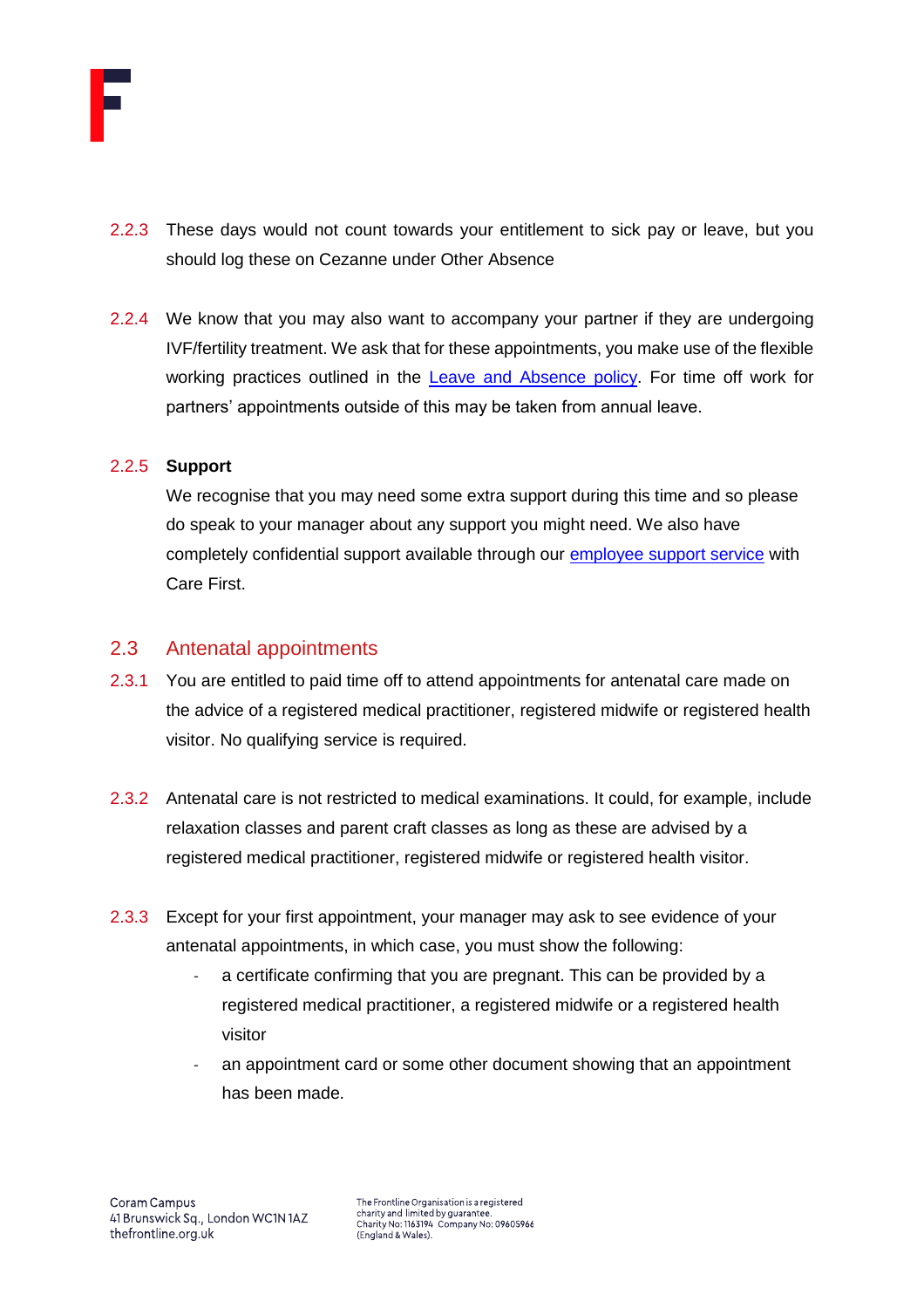

- 2.2.3 These days would not count towards your entitlement to sick pay or leave, but you should log these on Cezanne under Other Absence
- 2.2.4 We know that you may also want to accompany your partner if they are undergoing IVF/fertility treatment. We ask that for these appointments, you make use of the flexible working practices outlined in the [Leave and Absence policy.](https://thefrontline.sharepoint.com/sites/FBRB/Shared%20Documents/Operations/People/General/Leave%20and%20Absence%20Policy%20-%202021.04.pdf) For time off work for partners' appointments outside of this may be taken from annual leave.

## 2.2.5 **Support**

We recognise that you may need some extra support during this time and so please do speak to your manager about any support you might need. We also have completely confidential support available through our [employee support service](https://thefrontline.sharepoint.com/sites/FBRB/Shared%20Documents/Forms/FBRB%20View.aspx?id=%2Fsites%2FFBRB%2FShared%20Documents%2FOperations%2FPeople%2FBenefits%2FEmployee%20Support%20Service%20Brochure%2Epdf&parent=%2Fsites%2FFBRB%2FShared%20Documents%2FOperations%2FPeople%2FBenefits) with Care First.

# <span id="page-5-0"></span>2.3 Antenatal appointments

- 2.3.1 You are entitled to paid time off to attend appointments for antenatal care made on the advice of a registered medical practitioner, registered midwife or registered health visitor. No qualifying service is required.
- 2.3.2 Antenatal care is not restricted to medical examinations. It could, for example, include relaxation classes and parent craft classes as long as these are advised by a registered medical practitioner, registered midwife or registered health visitor.
- 2.3.3 Except for your first appointment, your manager may ask to see evidence of your antenatal appointments, in which case, you must show the following:
	- a certificate confirming that you are pregnant. This can be provided by a registered medical practitioner, a registered midwife or a registered health visitor
	- an appointment card or some other document showing that an appointment has been made.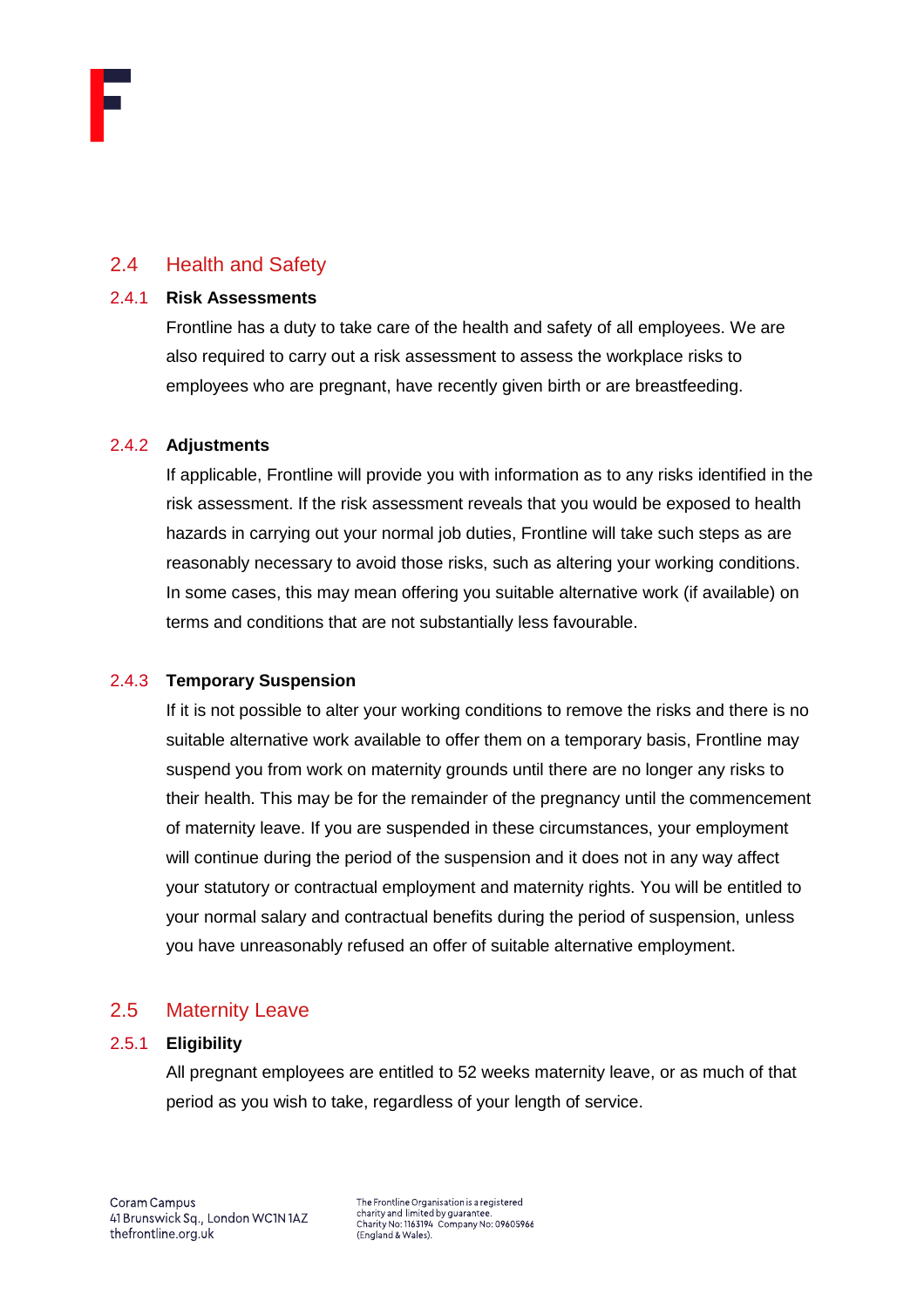# <span id="page-6-0"></span>2.4 Health and Safety

#### 2.4.1 **Risk Assessments**

Frontline has a duty to take care of the health and safety of all employees. We are also required to carry out a risk assessment to assess the workplace risks to employees who are pregnant, have recently given birth or are breastfeeding.

#### 2.4.2 **Adjustments**

If applicable, Frontline will provide you with information as to any risks identified in the risk assessment. If the risk assessment reveals that you would be exposed to health hazards in carrying out your normal job duties, Frontline will take such steps as are reasonably necessary to avoid those risks, such as altering your working conditions. In some cases, this may mean offering you suitable alternative work (if available) on terms and conditions that are not substantially less favourable.

# 2.4.3 **Temporary Suspension**

If it is not possible to alter your working conditions to remove the risks and there is no suitable alternative work available to offer them on a temporary basis, Frontline may suspend you from work on maternity grounds until there are no longer any risks to their health. This may be for the remainder of the pregnancy until the commencement of maternity leave. If you are suspended in these circumstances, your employment will continue during the period of the suspension and it does not in any way affect your statutory or contractual employment and maternity rights. You will be entitled to your normal salary and contractual benefits during the period of suspension, unless you have unreasonably refused an offer of suitable alternative employment.

# <span id="page-6-1"></span>2.5 Maternity Leave

# 2.5.1 **Eligibility**

All pregnant employees are entitled to 52 weeks maternity leave, or as much of that period as you wish to take, regardless of your length of service.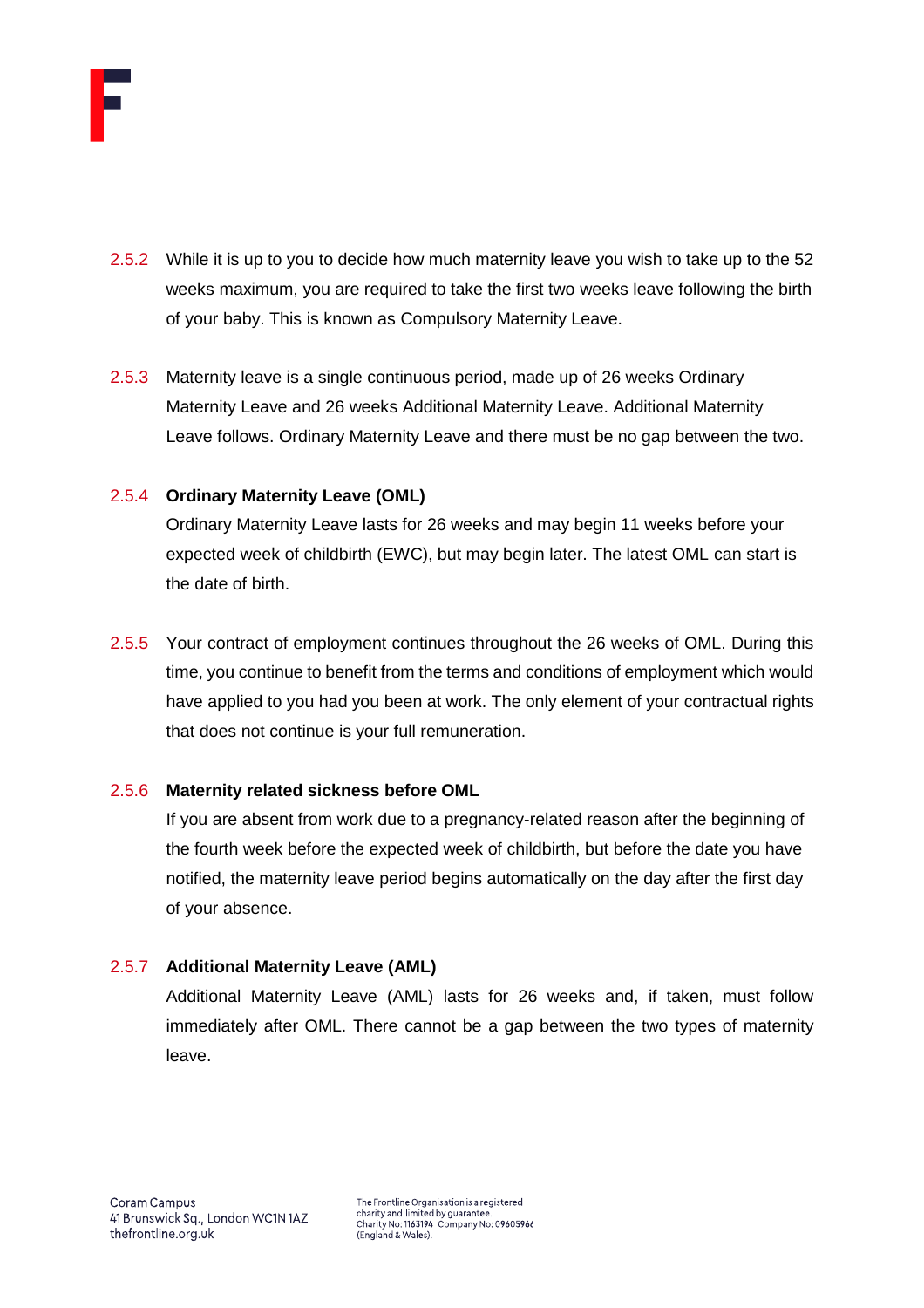

- 2.5.2 While it is up to you to decide how much maternity leave you wish to take up to the 52 weeks maximum, you are required to take the first two weeks leave following the birth of your baby. This is known as Compulsory Maternity Leave.
- 2.5.3 Maternity leave is a single continuous period, made up of 26 weeks Ordinary Maternity Leave and 26 weeks Additional Maternity Leave. Additional Maternity Leave follows. Ordinary Maternity Leave and there must be no gap between the two.

# 2.5.4 **Ordinary Maternity Leave (OML)**

Ordinary Maternity Leave lasts for 26 weeks and may begin 11 weeks before your expected week of childbirth (EWC), but may begin later. The latest OML can start is the date of birth.

2.5.5 Your contract of employment continues throughout the 26 weeks of OML. During this time, you continue to benefit from the terms and conditions of employment which would have applied to you had you been at work. The only element of your contractual rights that does not continue is your full remuneration.

#### 2.5.6 **Maternity related sickness before OML**

If you are absent from work due to a pregnancy-related reason after the beginning of the fourth week before the expected week of childbirth, but before the date you have notified, the maternity leave period begins automatically on the day after the first day of your absence.

#### 2.5.7 **Additional Maternity Leave (AML)**

Additional Maternity Leave (AML) lasts for 26 weeks and, if taken, must follow immediately after OML. There cannot be a gap between the two types of maternity leave.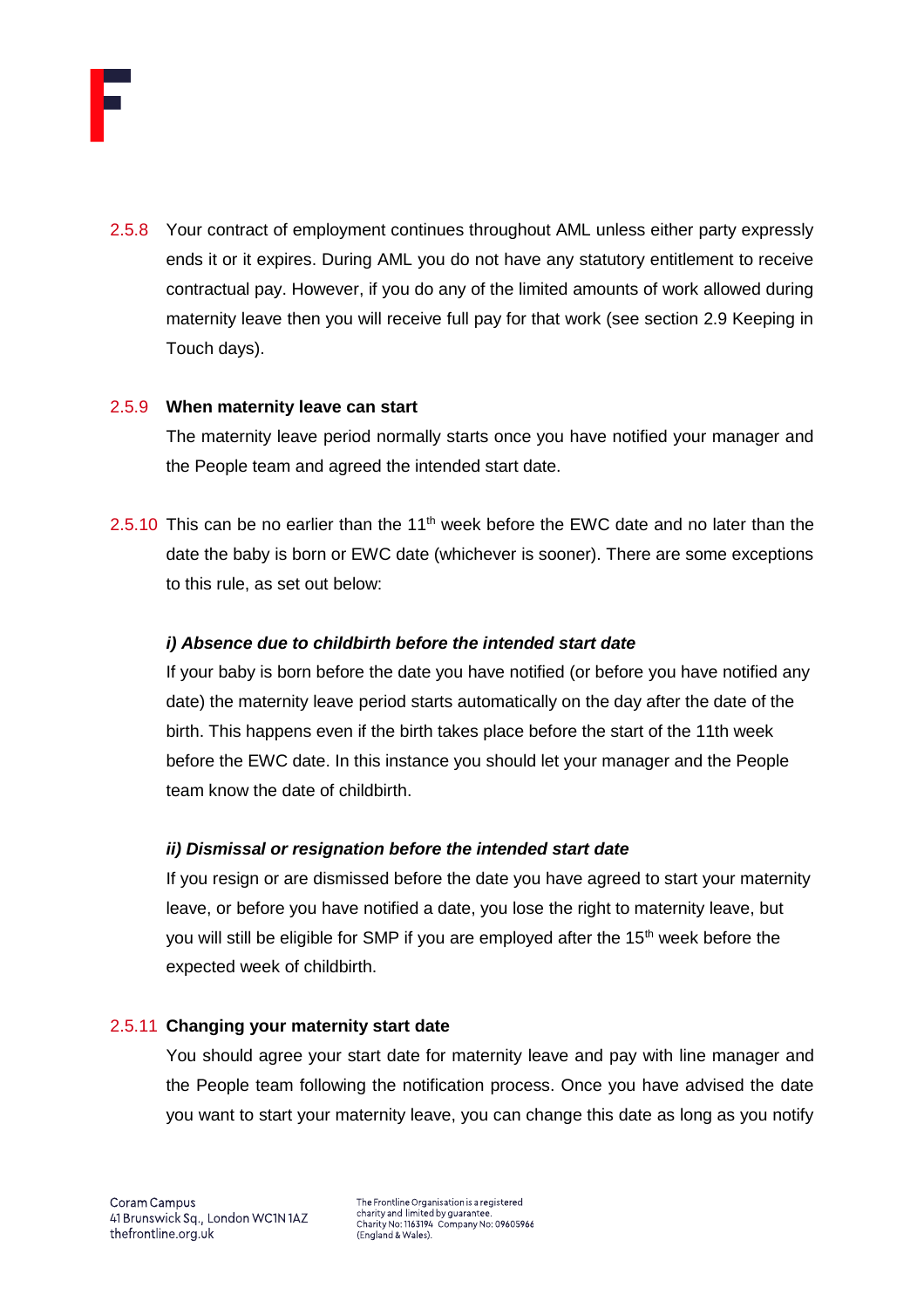

2.5.8 Your contract of employment continues throughout AML unless either party expressly ends it or it expires. During AML you do not have any statutory entitlement to receive contractual pay. However, if you do any of the limited amounts of work allowed during maternity leave then you will receive full pay for that work (see section 2.9 Keeping in Touch days).

#### 2.5.9 **When maternity leave can start**

The maternity leave period normally starts once you have notified your manager and the People team and agreed the intended start date.

2.5.10 This can be no earlier than the  $11<sup>th</sup>$  week before the EWC date and no later than the date the baby is born or EWC date (whichever is sooner). There are some exceptions to this rule, as set out below:

#### *i) Absence due to childbirth before the intended start date*

If your baby is born before the date you have notified (or before you have notified any date) the maternity leave period starts automatically on the day after the date of the birth. This happens even if the birth takes place before the start of the 11th week before the EWC date. In this instance you should let your manager and the People team know the date of childbirth.

#### *ii) Dismissal or resignation before the intended start date*

If you resign or are dismissed before the date you have agreed to start your maternity leave, or before you have notified a date, you lose the right to maternity leave, but you will still be eligible for SMP if you are employed after the 15<sup>th</sup> week before the expected week of childbirth.

#### 2.5.11 **Changing your maternity start date**

You should agree your start date for maternity leave and pay with line manager and the People team following the notification process. Once you have advised the date you want to start your maternity leave, you can change this date as long as you notify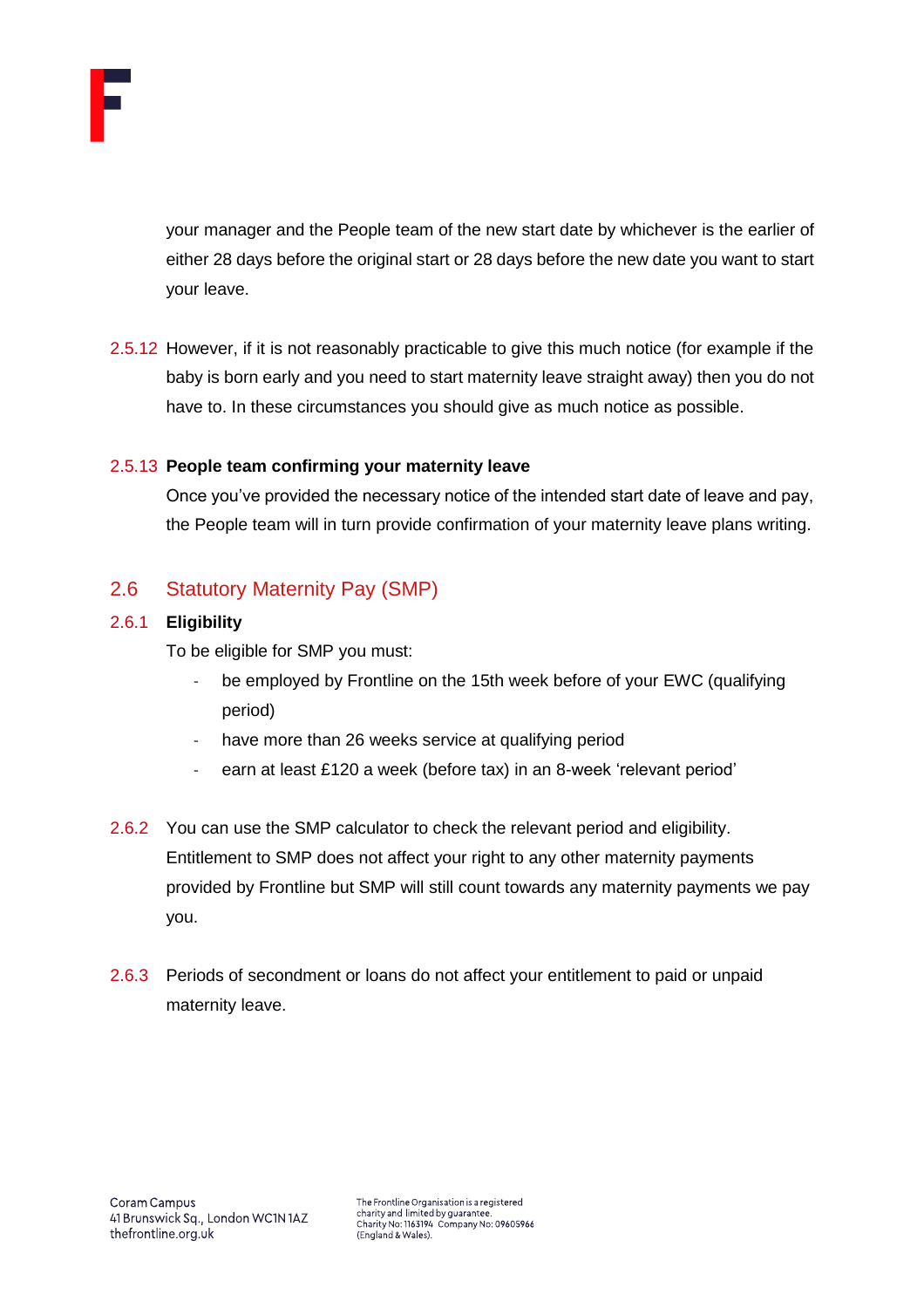

your manager and the People team of the new start date by whichever is the earlier of either 28 days before the original start or 28 days before the new date you want to start your leave.

2.5.12 However, if it is not reasonably practicable to give this much notice (for example if the baby is born early and you need to start maternity leave straight away) then you do not have to. In these circumstances you should give as much notice as possible.

#### 2.5.13 **People team confirming your maternity leave**

Once you've provided the necessary notice of the intended start date of leave and pay, the People team will in turn provide confirmation of your maternity leave plans writing.

# <span id="page-9-0"></span>2.6 Statutory Maternity Pay (SMP)

# 2.6.1 **Eligibility**

To be eligible for SMP you must:

- be employed by Frontline on the 15th week before of your EWC (qualifying period)
- have more than 26 weeks service at qualifying period
- earn at least £120 a week (before tax) in an 8-week 'relevant period'
- 2.6.2 You can use the SMP calculator to check the relevant period and eligibility. Entitlement to SMP does not affect your right to any other maternity payments provided by Frontline but SMP will still count towards any maternity payments we pay you.
- 2.6.3 Periods of secondment or loans do not affect your entitlement to paid or unpaid maternity leave.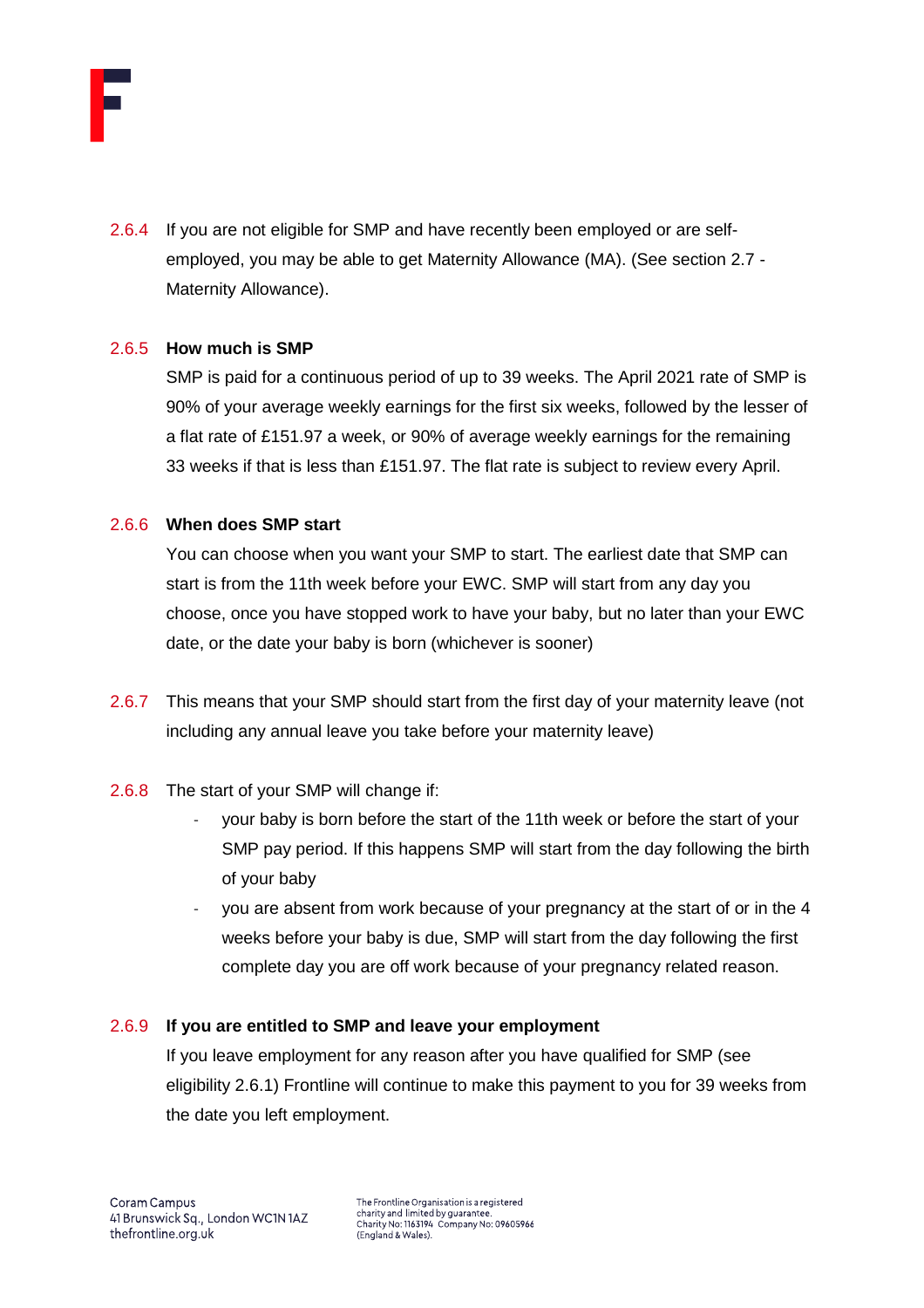

2.6.4 If you are not eligible for SMP and have recently been employed or are selfemployed, you may be able to get Maternity Allowance (MA). (See section 2.7 - Maternity Allowance).

#### 2.6.5 **How much is SMP**

SMP is paid for a continuous period of up to 39 weeks. The April 2021 rate of SMP is 90% of your average weekly earnings for the first six weeks, followed by the lesser of a flat rate of £151.97 a week, or 90% of average weekly earnings for the remaining 33 weeks if that is less than £151.97. The flat rate is subject to review every April.

#### 2.6.6 **When does SMP start**

You can choose when you want your SMP to start. The earliest date that SMP can start is from the 11th week before your EWC. SMP will start from any day you choose, once you have stopped work to have your baby, but no later than your EWC date, or the date your baby is born (whichever is sooner)

- 2.6.7 This means that your SMP should start from the first day of your maternity leave (not including any annual leave you take before your maternity leave)
- 2.6.8 The start of your SMP will change if:
	- your baby is born before the start of the 11th week or before the start of your SMP pay period. If this happens SMP will start from the day following the birth of your baby
	- you are absent from work because of your pregnancy at the start of or in the 4 weeks before your baby is due, SMP will start from the day following the first complete day you are off work because of your pregnancy related reason.

# 2.6.9 **If you are entitled to SMP and leave your employment**

If you leave employment for any reason after you have qualified for SMP (see eligibility 2.6.1) Frontline will continue to make this payment to you for 39 weeks from the date you left employment.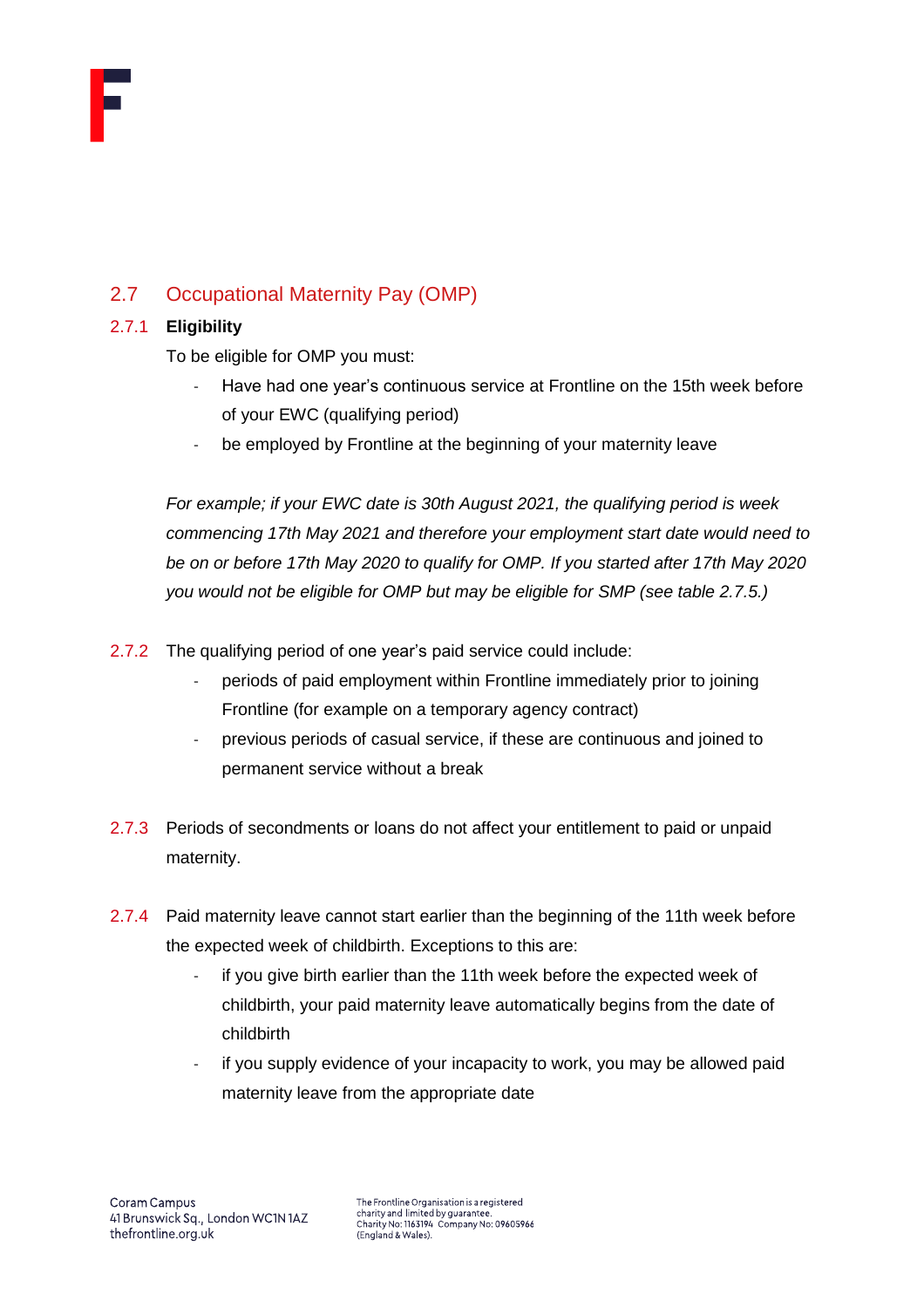

# <span id="page-11-0"></span>2.7 Occupational Maternity Pay (OMP)

# 2.7.1 **Eligibility**

To be eligible for OMP you must:

- Have had one year's continuous service at Frontline on the 15th week before of your EWC (qualifying period)
- be employed by Frontline at the beginning of your maternity leave

*For example; if your EWC date is 30th August 2021, the qualifying period is week commencing 17th May 2021 and therefore your employment start date would need to be on or before 17th May 2020 to qualify for OMP. If you started after 17th May 2020 you would not be eligible for OMP but may be eligible for SMP (see table 2.7.5.)*

- 2.7.2 The qualifying period of one year's paid service could include:
	- periods of paid employment within Frontline immediately prior to joining Frontline (for example on a temporary agency contract)
	- previous periods of casual service, if these are continuous and joined to permanent service without a break
- 2.7.3 Periods of secondments or loans do not affect your entitlement to paid or unpaid maternity.
- 2.7.4 Paid maternity leave cannot start earlier than the beginning of the 11th week before the expected week of childbirth. Exceptions to this are:
	- if you give birth earlier than the 11th week before the expected week of childbirth, your paid maternity leave automatically begins from the date of childbirth
	- if you supply evidence of your incapacity to work, you may be allowed paid maternity leave from the appropriate date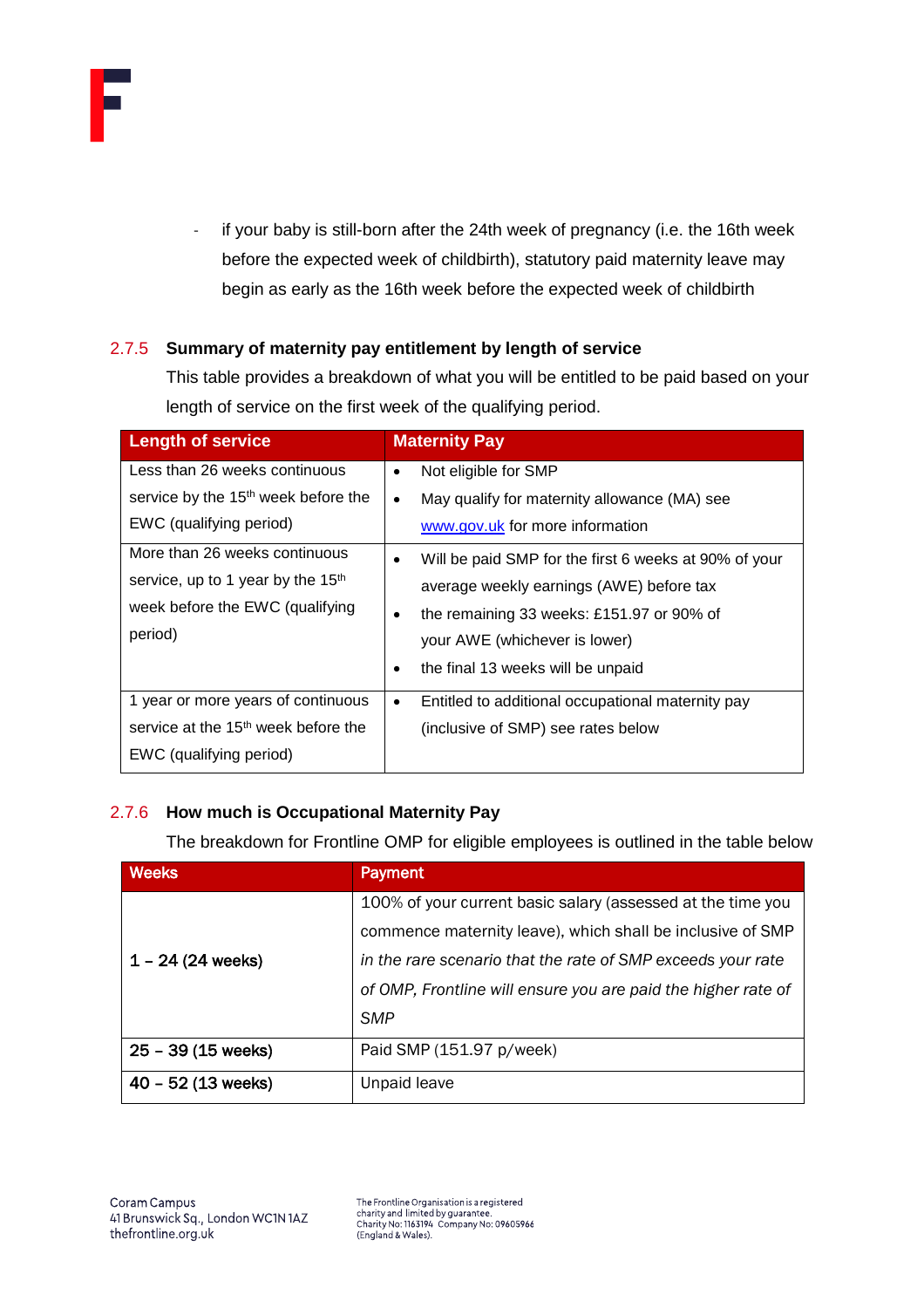

- if your baby is still-born after the 24th week of pregnancy (i.e. the 16th week before the expected week of childbirth), statutory paid maternity leave may begin as early as the 16th week before the expected week of childbirth

# 2.7.5 **Summary of maternity pay entitlement by length of service**

This table provides a breakdown of what you will be entitled to be paid based on your length of service on the first week of the qualifying period.

| <b>Length of service</b>                        | <b>Maternity Pay</b>                                               |
|-------------------------------------------------|--------------------------------------------------------------------|
| Less than 26 weeks continuous                   | Not eligible for SMP<br>٠                                          |
| service by the 15 <sup>th</sup> week before the | May qualify for maternity allowance (MA) see<br>$\bullet$          |
| EWC (qualifying period)                         | www.gov.uk for more information                                    |
| More than 26 weeks continuous                   | Will be paid SMP for the first 6 weeks at 90% of your<br>$\bullet$ |
| service, up to 1 year by the 15 <sup>th</sup>   | average weekly earnings (AWE) before tax                           |
| week before the EWC (qualifying                 | the remaining 33 weeks: £151.97 or 90% of<br>٠                     |
| period)                                         | your AWE (whichever is lower)                                      |
|                                                 | the final 13 weeks will be unpaid<br>٠                             |
| 1 year or more years of continuous              | Entitled to additional occupational maternity pay<br>$\bullet$     |
| service at the 15 <sup>th</sup> week before the | (inclusive of SMP) see rates below                                 |
| EWC (qualifying period)                         |                                                                    |

# 2.7.6 **How much is Occupational Maternity Pay**

The breakdown for Frontline OMP for eligible employees is outlined in the table below

| <b>Weeks</b>         | <b>Payment</b>                                                |
|----------------------|---------------------------------------------------------------|
|                      | 100% of your current basic salary (assessed at the time you   |
|                      | commence maternity leave), which shall be inclusive of SMP    |
| $1 - 24$ (24 weeks)  | in the rare scenario that the rate of SMP exceeds your rate   |
|                      | of OMP, Frontline will ensure you are paid the higher rate of |
|                      | <b>SMP</b>                                                    |
| $25 - 39(15$ weeks)  | Paid SMP (151.97 p/week)                                      |
| $40 - 52$ (13 weeks) | Unpaid leave                                                  |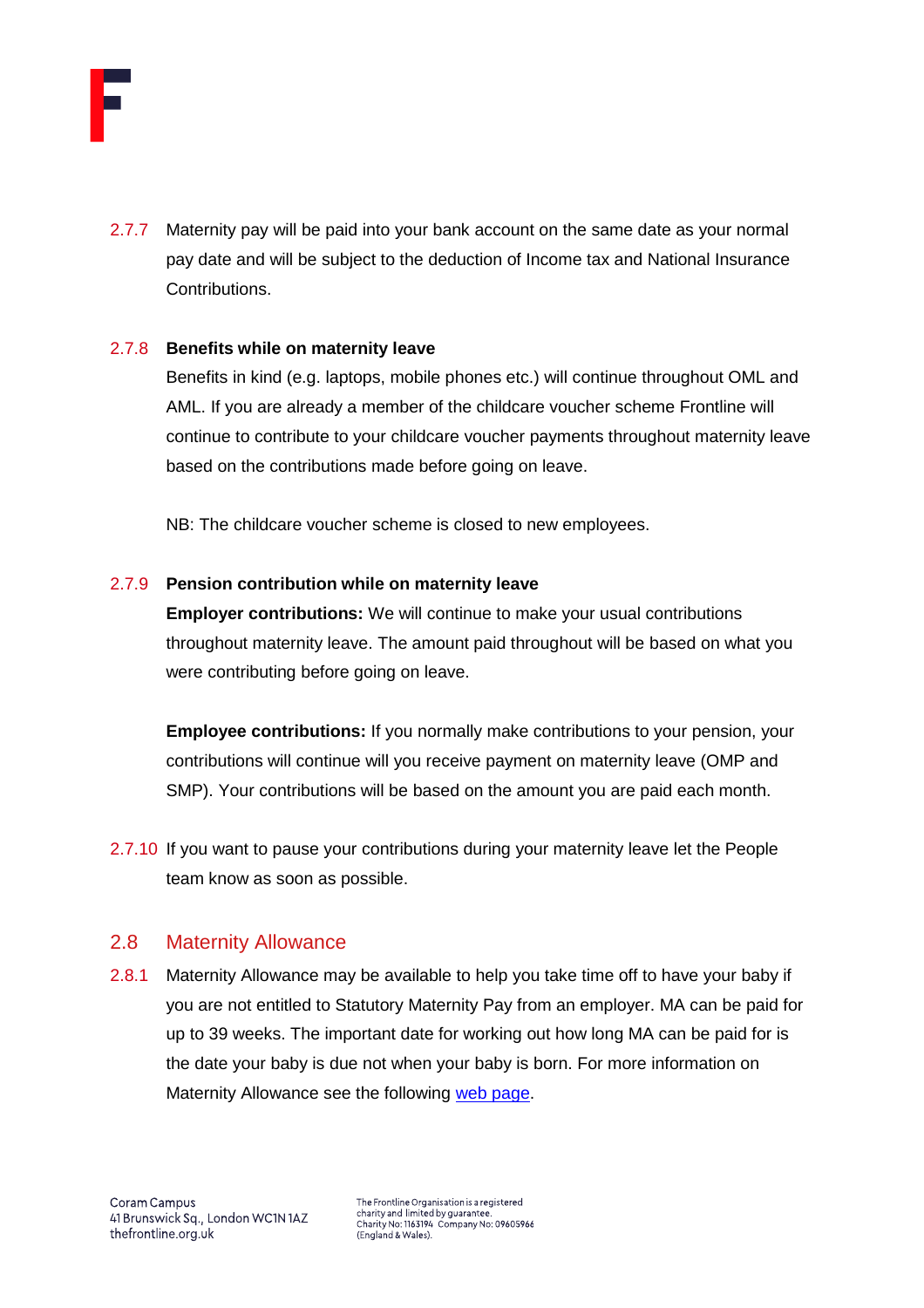

2.7.7 Maternity pay will be paid into your bank account on the same date as your normal pay date and will be subject to the deduction of Income tax and National Insurance Contributions.

#### 2.7.8 **Benefits while on maternity leave**

Benefits in kind (e.g. laptops, mobile phones etc.) will continue throughout OML and AML. If you are already a member of the childcare voucher scheme Frontline will continue to contribute to your childcare voucher payments throughout maternity leave based on the contributions made before going on leave.

NB: The childcare voucher scheme is closed to new employees.

#### 2.7.9 **Pension contribution while on maternity leave**

**Employer contributions:** We will continue to make your usual contributions throughout maternity leave. The amount paid throughout will be based on what you were contributing before going on leave.

**Employee contributions:** If you normally make contributions to your pension, your contributions will continue will you receive payment on maternity leave (OMP and SMP). Your contributions will be based on the amount you are paid each month.

2.7.10 If you want to pause your contributions during your maternity leave let the People team know as soon as possible.

# <span id="page-13-0"></span>2.8 Maternity Allowance

2.8.1 Maternity Allowance may be available to help you take time off to have your baby if you are not entitled to Statutory Maternity Pay from an employer. MA can be paid for up to 39 weeks. The important date for working out how long MA can be paid for is the date your baby is due not when your baby is born. For more information on Maternity Allowance see the following [web page.](https://www.gov.uk/maternity-allowance)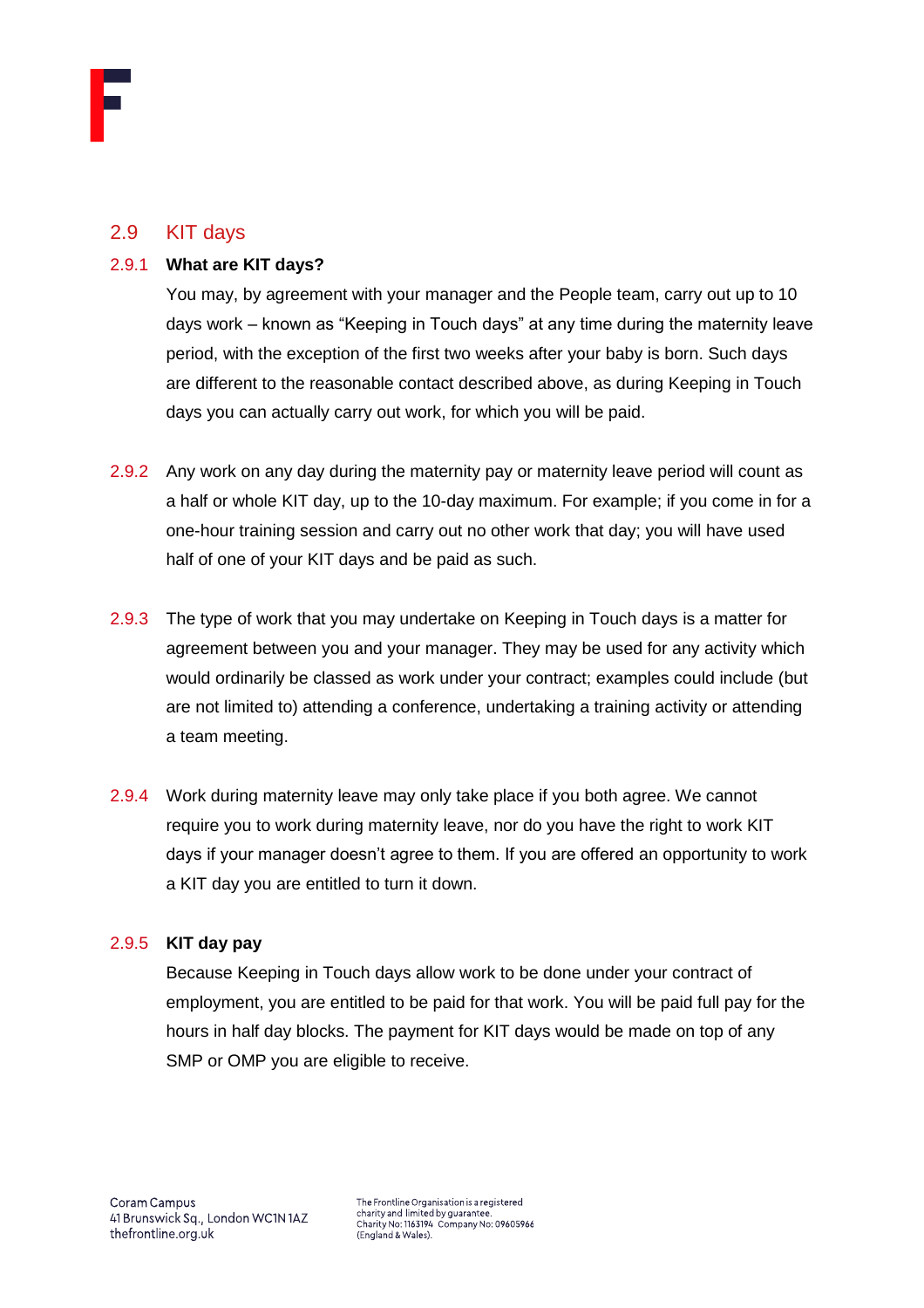# <span id="page-14-0"></span>2.9 KIT days

#### 2.9.1 **What are KIT days?**

You may, by agreement with your manager and the People team, carry out up to 10 days work – known as "Keeping in Touch days" at any time during the maternity leave period, with the exception of the first two weeks after your baby is born. Such days are different to the reasonable contact described above, as during Keeping in Touch days you can actually carry out work, for which you will be paid.

- 2.9.2 Any work on any day during the maternity pay or maternity leave period will count as a half or whole KIT day, up to the 10-day maximum. For example; if you come in for a one-hour training session and carry out no other work that day; you will have used half of one of your KIT days and be paid as such.
- 2.9.3 The type of work that you may undertake on Keeping in Touch days is a matter for agreement between you and your manager. They may be used for any activity which would ordinarily be classed as work under your contract; examples could include (but are not limited to) attending a conference, undertaking a training activity or attending a team meeting.
- 2.9.4 Work during maternity leave may only take place if you both agree. We cannot require you to work during maternity leave, nor do you have the right to work KIT days if your manager doesn't agree to them. If you are offered an opportunity to work a KIT day you are entitled to turn it down.

# 2.9.5 **KIT day pay**

Because Keeping in Touch days allow work to be done under your contract of employment, you are entitled to be paid for that work. You will be paid full pay for the hours in half day blocks. The payment for KIT days would be made on top of any SMP or OMP you are eligible to receive.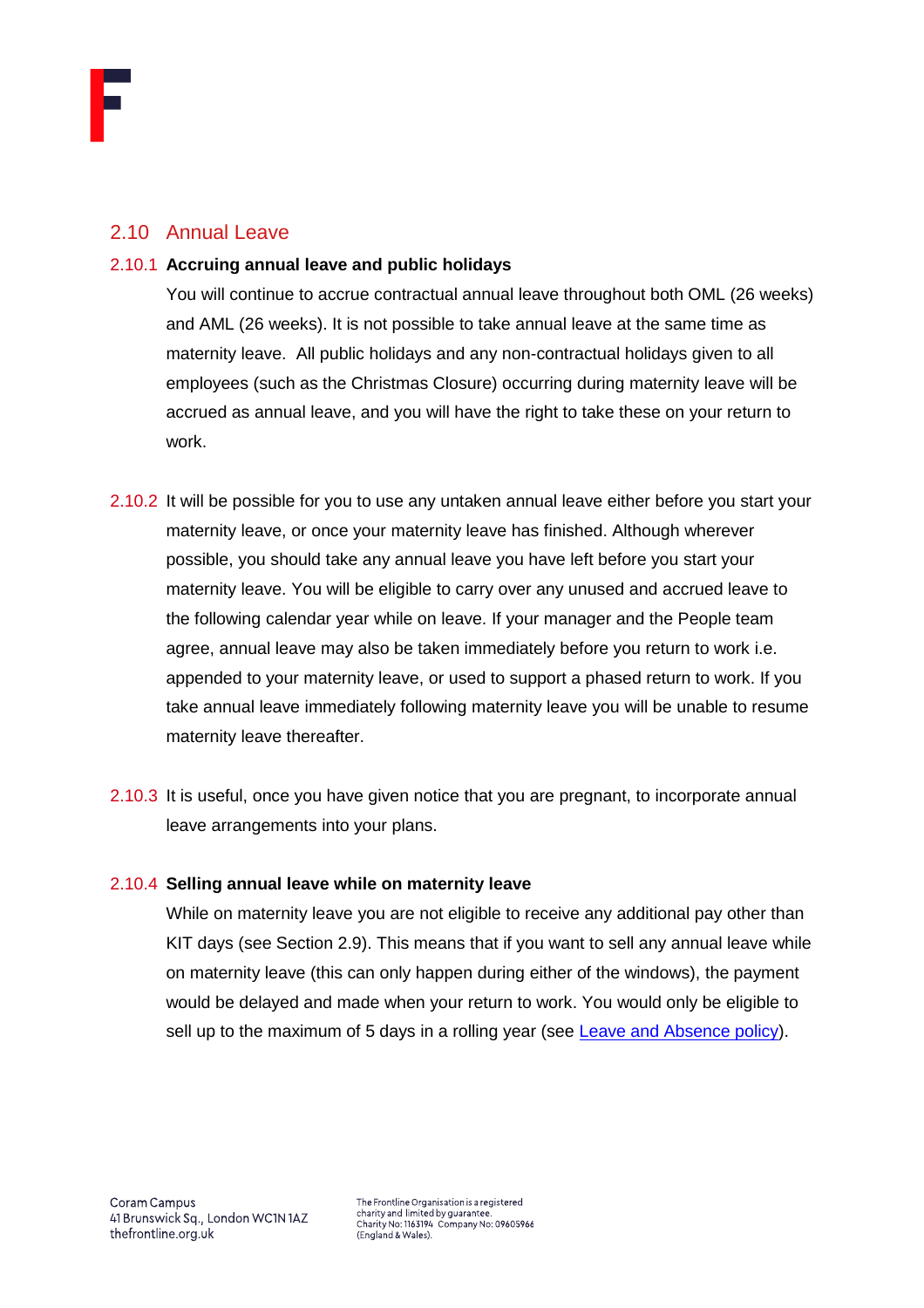# <span id="page-15-0"></span>2.10 Annual Leave

#### 2.10.1 **Accruing annual leave and public holidays**

You will continue to accrue contractual annual leave throughout both OML (26 weeks) and AML (26 weeks). It is not possible to take annual leave at the same time as maternity leave. All public holidays and any non-contractual holidays given to all employees (such as the Christmas Closure) occurring during maternity leave will be accrued as annual leave, and you will have the right to take these on your return to work.

- 2.10.2 It will be possible for you to use any untaken annual leave either before you start your maternity leave, or once your maternity leave has finished. Although wherever possible, you should take any annual leave you have left before you start your maternity leave. You will be eligible to carry over any unused and accrued leave to the following calendar year while on leave. If your manager and the People team agree, annual leave may also be taken immediately before you return to work i.e. appended to your maternity leave, or used to support a phased return to work. If you take annual leave immediately following maternity leave you will be unable to resume maternity leave thereafter.
- 2.10.3 It is useful, once you have given notice that you are pregnant, to incorporate annual leave arrangements into your plans.

# 2.10.4 **Selling annual leave while on maternity leave**

While on maternity leave you are not eligible to receive any additional pay other than KIT days (see Section 2.9). This means that if you want to sell any annual leave while on maternity leave (this can only happen during either of the windows), the payment would be delayed and made when your return to work. You would only be eligible to sell up to the maximum of 5 days in a rolling year (see [Leave and Absence policy\)](https://thefrontline.sharepoint.com/sites/FBRB/Shared%20Documents/Operations/People/General/Leave%20and%20Absence%20Policy%20-%202021.04.pdf).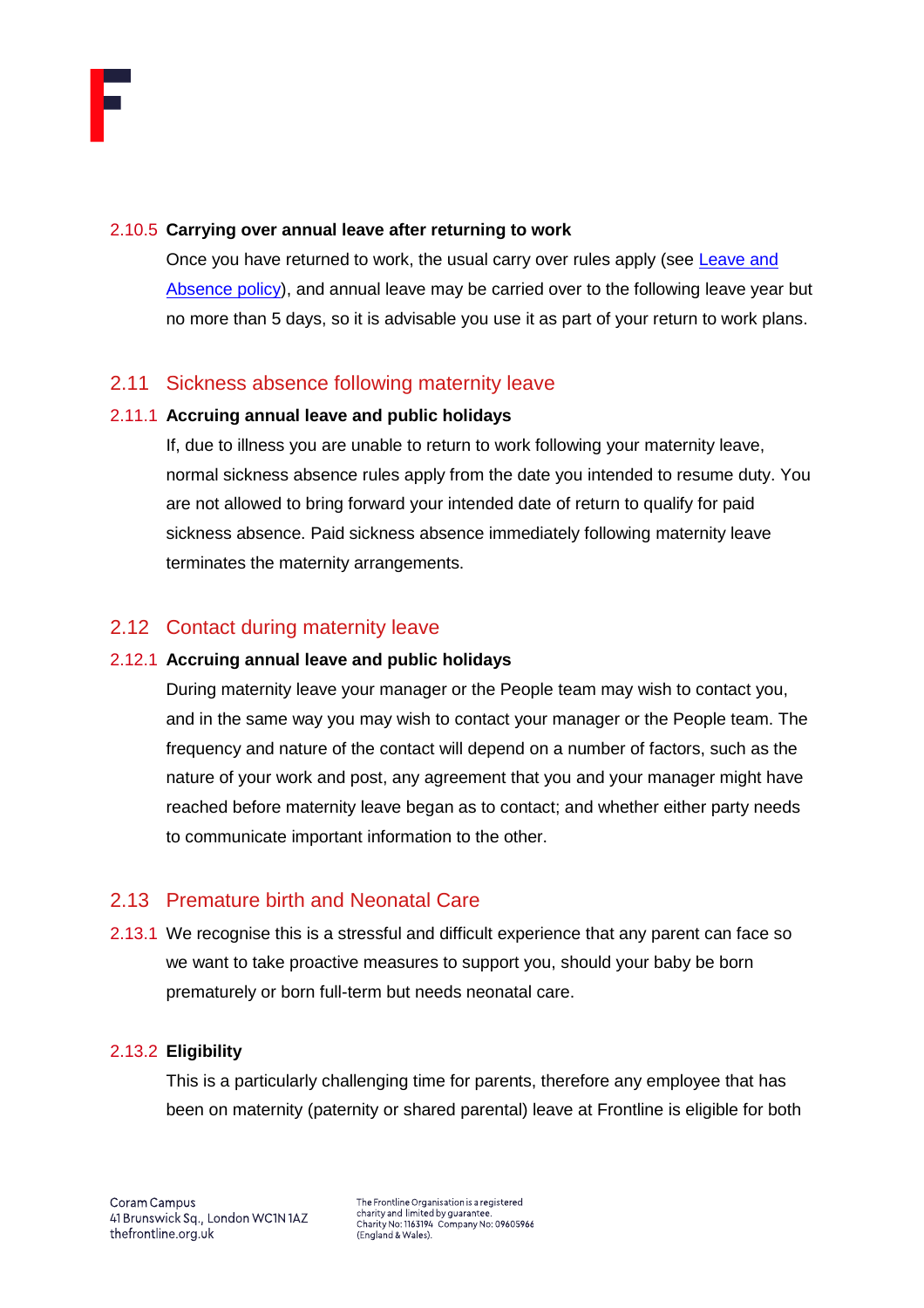#### 2.10.5 **Carrying over annual leave after returning to work**

Once you have returned to work, the usual carry over rules apply (see Leave and [Absence policy\)](https://thefrontline.sharepoint.com/sites/FBRB/Shared%20Documents/Operations/People/General/Leave%20and%20Absence%20Policy%20-%202021.04.pdf), and annual leave may be carried over to the following leave year but no more than 5 days, so it is advisable you use it as part of your return to work plans.

# <span id="page-16-0"></span>2.11 Sickness absence following maternity leave

#### 2.11.1 **Accruing annual leave and public holidays**

If, due to illness you are unable to return to work following your maternity leave, normal sickness absence rules apply from the date you intended to resume duty. You are not allowed to bring forward your intended date of return to qualify for paid sickness absence. Paid sickness absence immediately following maternity leave terminates the maternity arrangements.

# <span id="page-16-1"></span>2.12 Contact during maternity leave

## 2.12.1 **Accruing annual leave and public holidays**

During maternity leave your manager or the People team may wish to contact you, and in the same way you may wish to contact your manager or the People team. The frequency and nature of the contact will depend on a number of factors, such as the nature of your work and post, any agreement that you and your manager might have reached before maternity leave began as to contact; and whether either party needs to communicate important information to the other.

# <span id="page-16-2"></span>2.13 Premature birth and Neonatal Care

2.13.1 We recognise this is a stressful and difficult experience that any parent can face so we want to take proactive measures to support you, should your baby be born prematurely or born full-term but needs neonatal care.

# 2.13.2 **Eligibility**

This is a particularly challenging time for parents, therefore any employee that has been on maternity (paternity or shared parental) leave at Frontline is eligible for both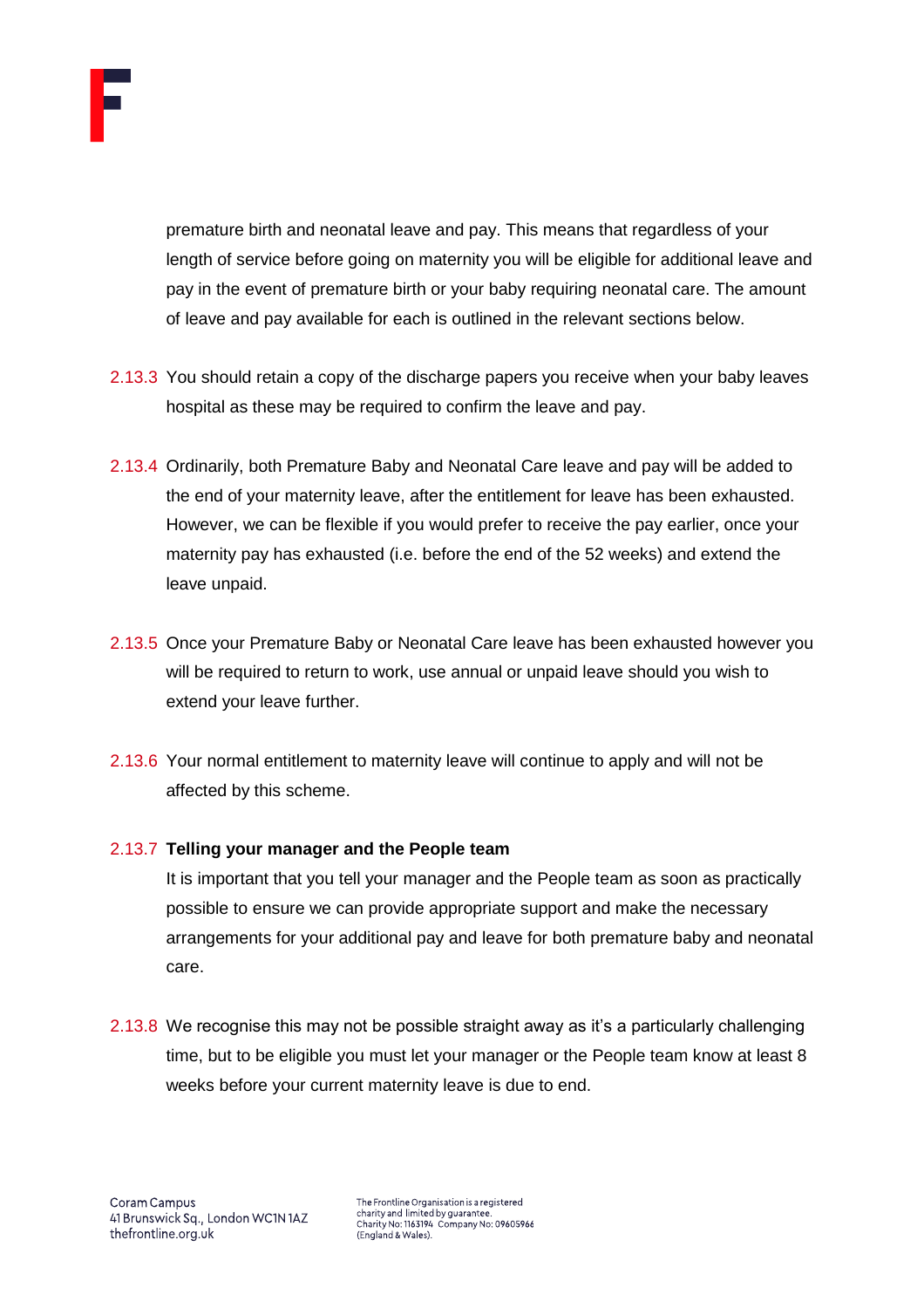

premature birth and neonatal leave and pay. This means that regardless of your length of service before going on maternity you will be eligible for additional leave and pay in the event of premature birth or your baby requiring neonatal care. The amount of leave and pay available for each is outlined in the relevant sections below.

- 2.13.3 You should retain a copy of the discharge papers you receive when your baby leaves hospital as these may be required to confirm the leave and pay.
- 2.13.4 Ordinarily, both Premature Baby and Neonatal Care leave and pay will be added to the end of your maternity leave, after the entitlement for leave has been exhausted. However, we can be flexible if you would prefer to receive the pay earlier, once your maternity pay has exhausted (i.e. before the end of the 52 weeks) and extend the leave unpaid.
- 2.13.5 Once your Premature Baby or Neonatal Care leave has been exhausted however you will be required to return to work, use annual or unpaid leave should you wish to extend your leave further.
- 2.13.6 Your normal entitlement to maternity leave will continue to apply and will not be affected by this scheme.

# 2.13.7 **Telling your manager and the People team**

It is important that you tell your manager and the People team as soon as practically possible to ensure we can provide appropriate support and make the necessary arrangements for your additional pay and leave for both premature baby and neonatal care.

2.13.8 We recognise this may not be possible straight away as it's a particularly challenging time, but to be eligible you must let your manager or the People team know at least 8 weeks before your current maternity leave is due to end.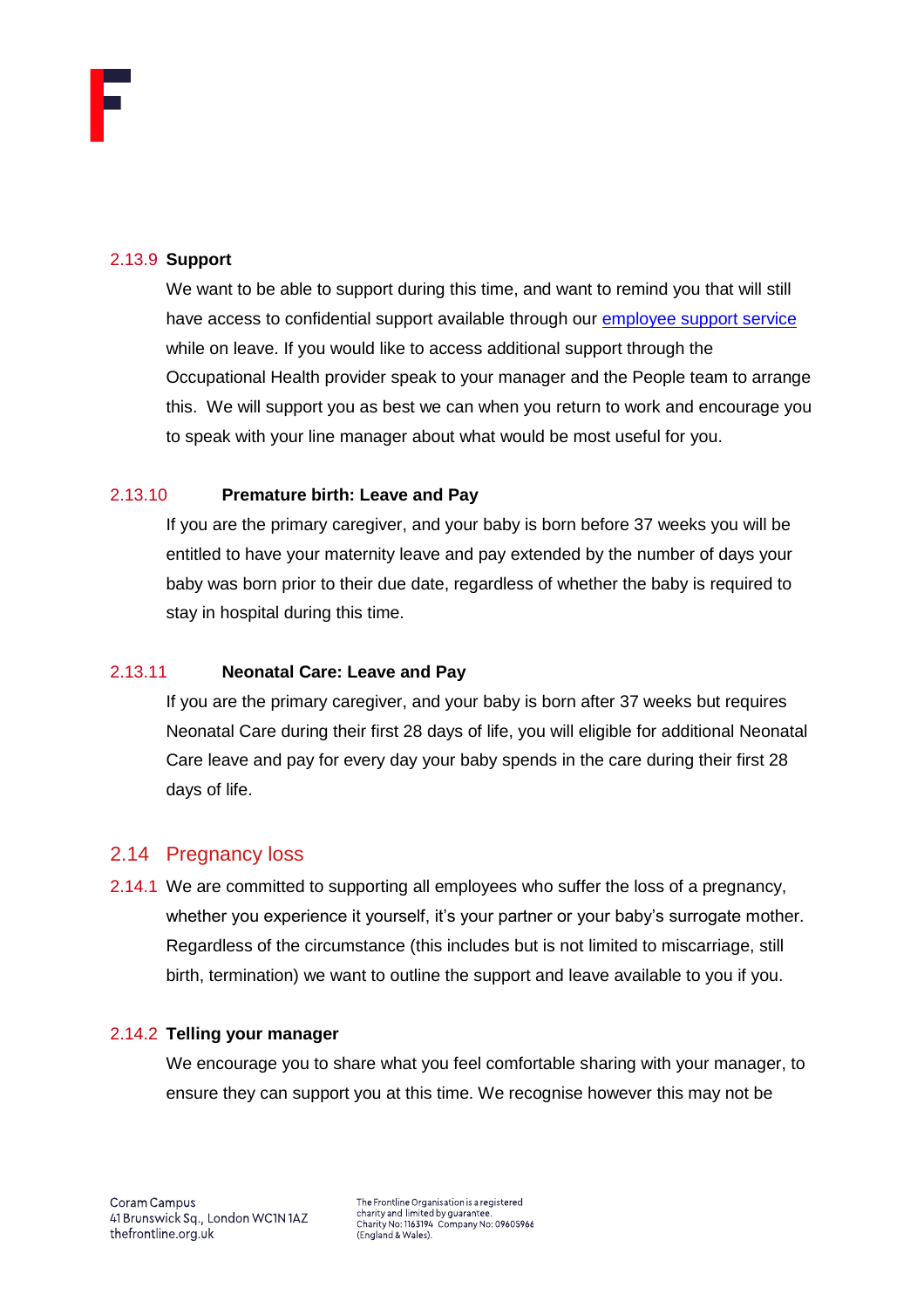#### 2.13.9 **Support**

We want to be able to support during this time, and want to remind you that will still have access to confidential support available through our [employee support service](https://thefrontline.sharepoint.com/sites/FBRB/Shared%20Documents/Forms/FBRB%20View.aspx?id=%2Fsites%2FFBRB%2FShared%20Documents%2FOperations%2FPeople%2FBenefits%2FEmployee%20Support%20Service%20Brochure%2Epdf&parent=%2Fsites%2FFBRB%2FShared%20Documents%2FOperations%2FPeople%2FBenefits) while on leave. If you would like to access additional support through the Occupational Health provider speak to your manager and the People team to arrange this. We will support you as best we can when you return to work and encourage you to speak with your line manager about what would be most useful for you.

#### 2.13.10 **Premature birth: Leave and Pay**

If you are the primary caregiver, and your baby is born before 37 weeks you will be entitled to have your maternity leave and pay extended by the number of days your baby was born prior to their due date, regardless of whether the baby is required to stay in hospital during this time.

# 2.13.11 **Neonatal Care: Leave and Pay**

If you are the primary caregiver, and your baby is born after 37 weeks but requires Neonatal Care during their first 28 days of life, you will eligible for additional Neonatal Care leave and pay for every day your baby spends in the care during their first 28 days of life.

# <span id="page-18-0"></span>2.14 Pregnancy loss

2.14.1 We are committed to supporting all employees who suffer the loss of a pregnancy, whether you experience it yourself, it's your partner or your baby's surrogate mother. Regardless of the circumstance (this includes but is not limited to miscarriage, still birth, termination) we want to outline the support and leave available to you if you.

#### 2.14.2 **Telling your manager**

We encourage you to share what you feel comfortable sharing with your manager, to ensure they can support you at this time. We recognise however this may not be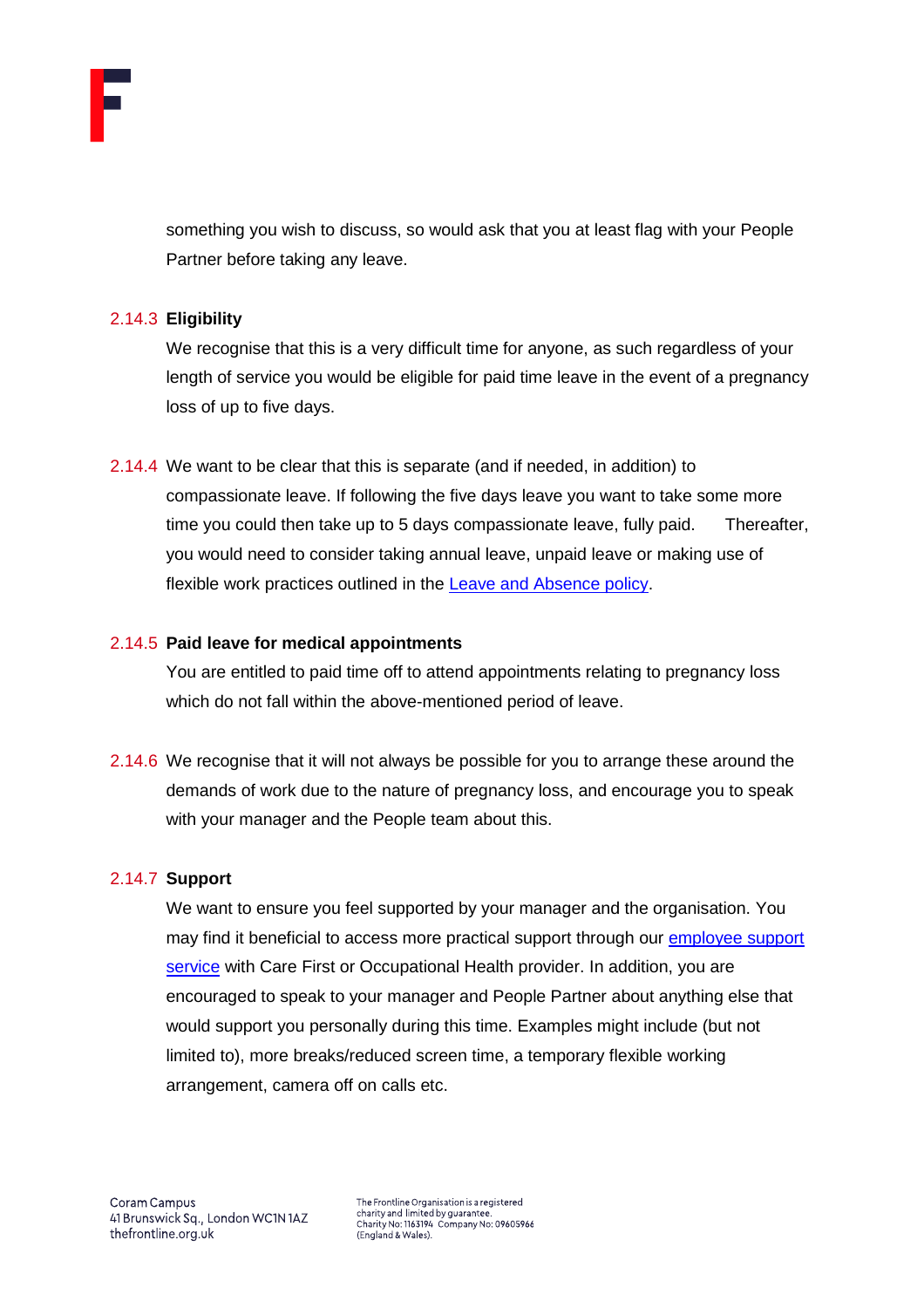

something you wish to discuss, so would ask that you at least flag with your People Partner before taking any leave.

#### 2.14.3 **Eligibility**

We recognise that this is a very difficult time for anyone, as such regardless of your length of service you would be eligible for paid time leave in the event of a pregnancy loss of up to five days.

2.14.4 We want to be clear that this is separate (and if needed, in addition) to compassionate leave. If following the five days leave you want to take some more time you could then take up to 5 days compassionate leave, fully paid. Thereafter, you would need to consider taking annual leave, unpaid leave or making use of flexible work practices outlined in the [Leave and Absence policy.](https://thefrontline.sharepoint.com/sites/FBRB/Shared%20Documents/Operations/People/General/Leave%20and%20Absence%20Policy%20-%202021.04.pdf)

#### 2.14.5 **Paid leave for medical appointments**

You are entitled to paid time off to attend appointments relating to pregnancy loss which do not fall within the above-mentioned period of leave.

2.14.6 We recognise that it will not always be possible for you to arrange these around the demands of work due to the nature of pregnancy loss, and encourage you to speak with your manager and the People team about this.

#### 2.14.7 **Support**

We want to ensure you feel supported by your manager and the organisation. You may find it beneficial to access more practical support through our employee support [service](https://thefrontline.sharepoint.com/sites/FBRB/Shared%20Documents/Forms/FBRB%20View.aspx?id=%2Fsites%2FFBRB%2FShared%20Documents%2FOperations%2FPeople%2FBenefits%2FEmployee%20Support%20Service%20Brochure%2Epdf&parent=%2Fsites%2FFBRB%2FShared%20Documents%2FOperations%2FPeople%2FBenefits) with Care First or Occupational Health provider. In addition, you are encouraged to speak to your manager and People Partner about anything else that would support you personally during this time. Examples might include (but not limited to), more breaks/reduced screen time, a temporary flexible working arrangement, camera off on calls etc.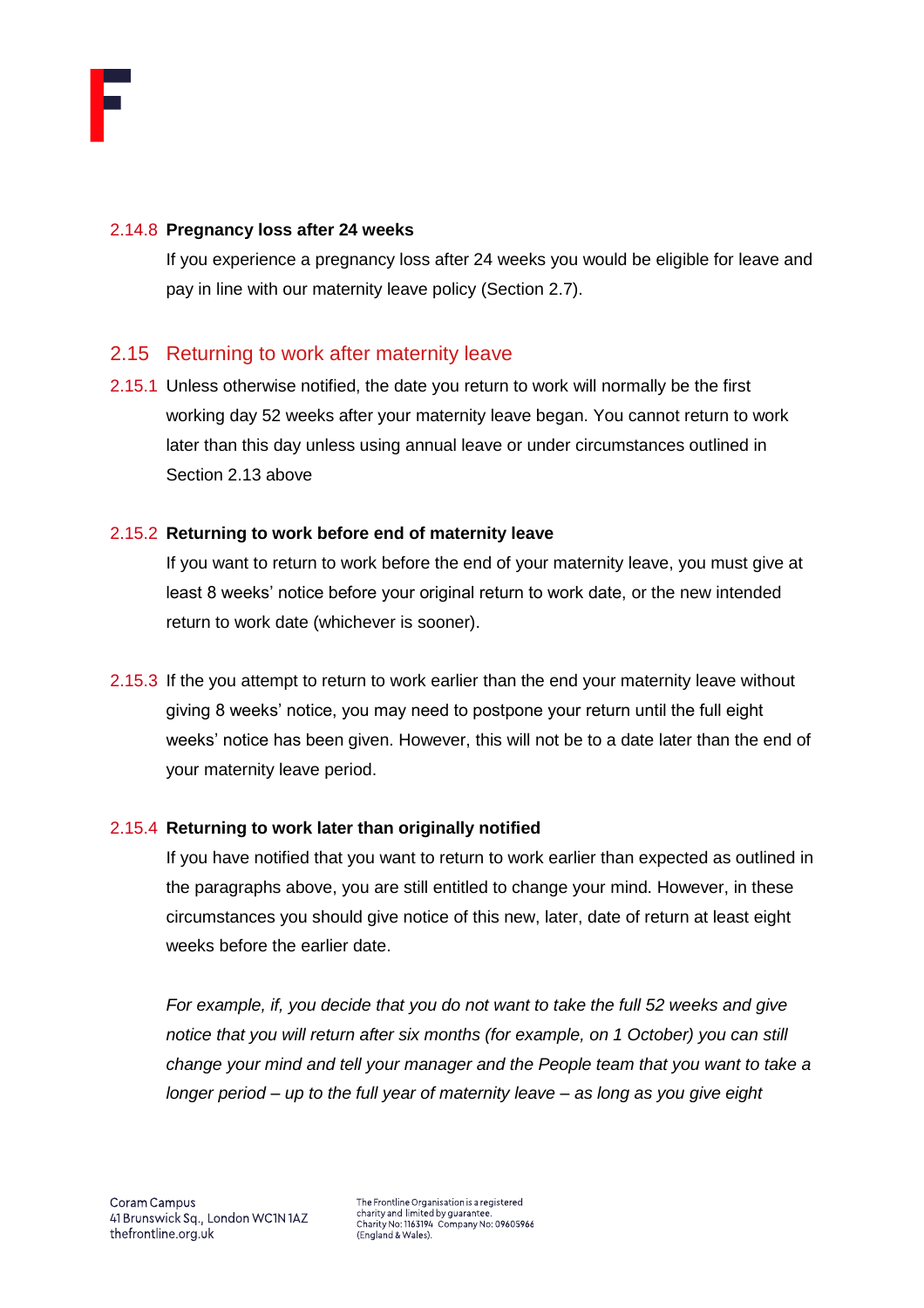

#### 2.14.8 **Pregnancy loss after 24 weeks**

If you experience a pregnancy loss after 24 weeks you would be eligible for leave and pay in line with our maternity leave policy (Section 2.7).

# <span id="page-20-0"></span>2.15 Returning to work after maternity leave

2.15.1 Unless otherwise notified, the date you return to work will normally be the first working day 52 weeks after your maternity leave began. You cannot return to work later than this day unless using annual leave or under circumstances outlined in Section 2.13 above

#### 2.15.2 **Returning to work before end of maternity leave**

If you want to return to work before the end of your maternity leave, you must give at least 8 weeks' notice before your original return to work date, or the new intended return to work date (whichever is sooner).

2.15.3 If the you attempt to return to work earlier than the end your maternity leave without giving 8 weeks' notice, you may need to postpone your return until the full eight weeks' notice has been given. However, this will not be to a date later than the end of your maternity leave period.

# 2.15.4 **Returning to work later than originally notified**

If you have notified that you want to return to work earlier than expected as outlined in the paragraphs above, you are still entitled to change your mind. However, in these circumstances you should give notice of this new, later, date of return at least eight weeks before the earlier date.

*For example, if, you decide that you do not want to take the full 52 weeks and give notice that you will return after six months (for example, on 1 October) you can still change your mind and tell your manager and the People team that you want to take a longer period – up to the full year of maternity leave – as long as you give eight*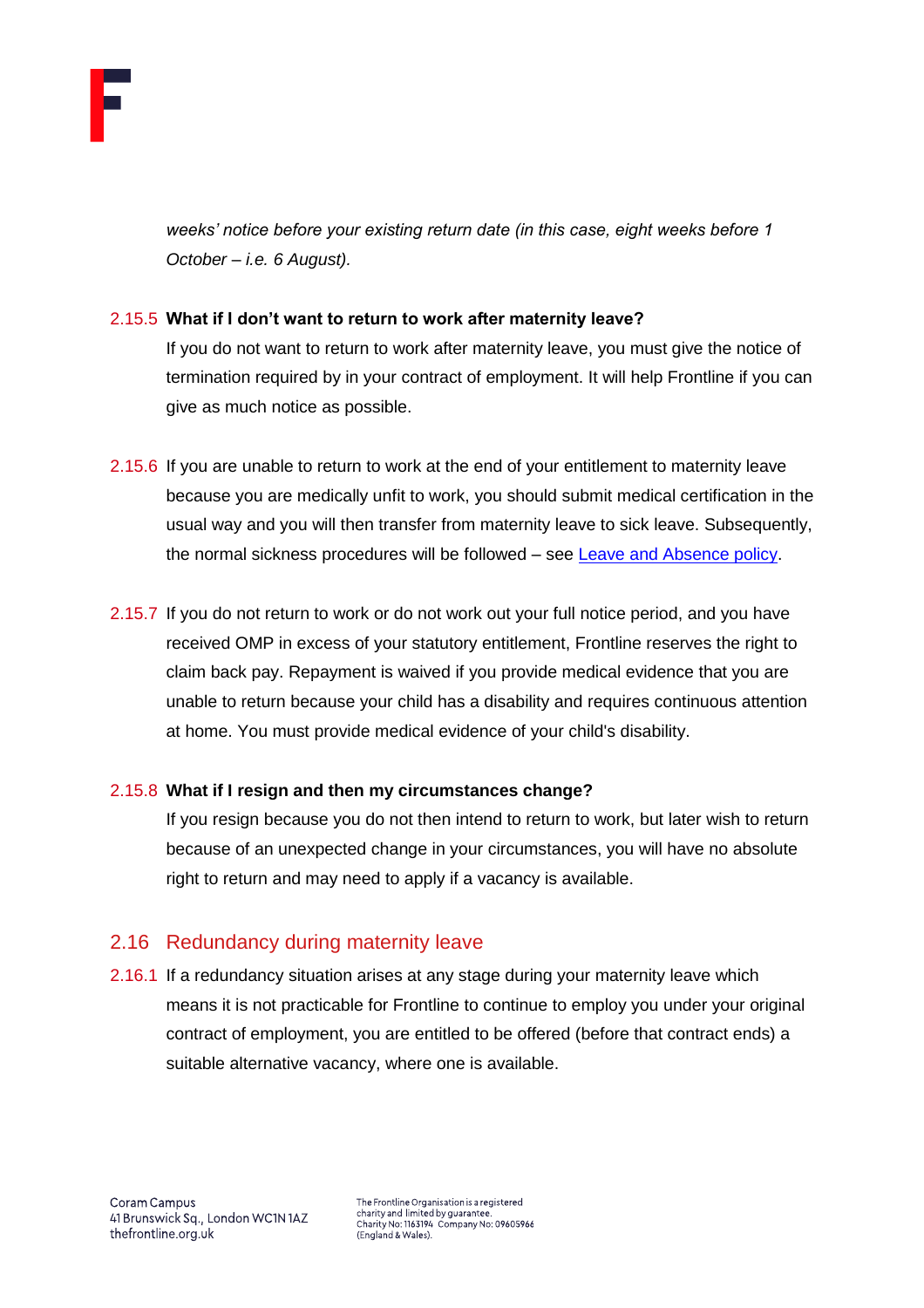

*weeks' notice before your existing return date (in this case, eight weeks before 1 October – i.e. 6 August).* 

# 2.15.5 **What if I don't want to return to work after maternity leave?**

If you do not want to return to work after maternity leave, you must give the notice of termination required by in your contract of employment. It will help Frontline if you can give as much notice as possible.

- 2.15.6 If you are unable to return to work at the end of your entitlement to maternity leave because you are medically unfit to work, you should submit medical certification in the usual way and you will then transfer from maternity leave to sick leave. Subsequently, the normal sickness procedures will be followed – see [Leave and Absence policy.](https://thefrontline.sharepoint.com/sites/FBRB/Shared%20Documents/Operations/People/General/Leave%20and%20Absence%20Policy%20-%202021.04.pdf)
- 2.15.7 If you do not return to work or do not work out your full notice period, and you have received OMP in excess of your statutory entitlement, Frontline reserves the right to claim back pay. Repayment is waived if you provide medical evidence that you are unable to return because your child has a disability and requires continuous attention at home. You must provide medical evidence of your child's disability.

#### 2.15.8 **What if I resign and then my circumstances change?**

If you resign because you do not then intend to return to work, but later wish to return because of an unexpected change in your circumstances, you will have no absolute right to return and may need to apply if a vacancy is available.

# <span id="page-21-0"></span>2.16 Redundancy during maternity leave

2.16.1 If a redundancy situation arises at any stage during your maternity leave which means it is not practicable for Frontline to continue to employ you under your original contract of employment, you are entitled to be offered (before that contract ends) a suitable alternative vacancy, where one is available.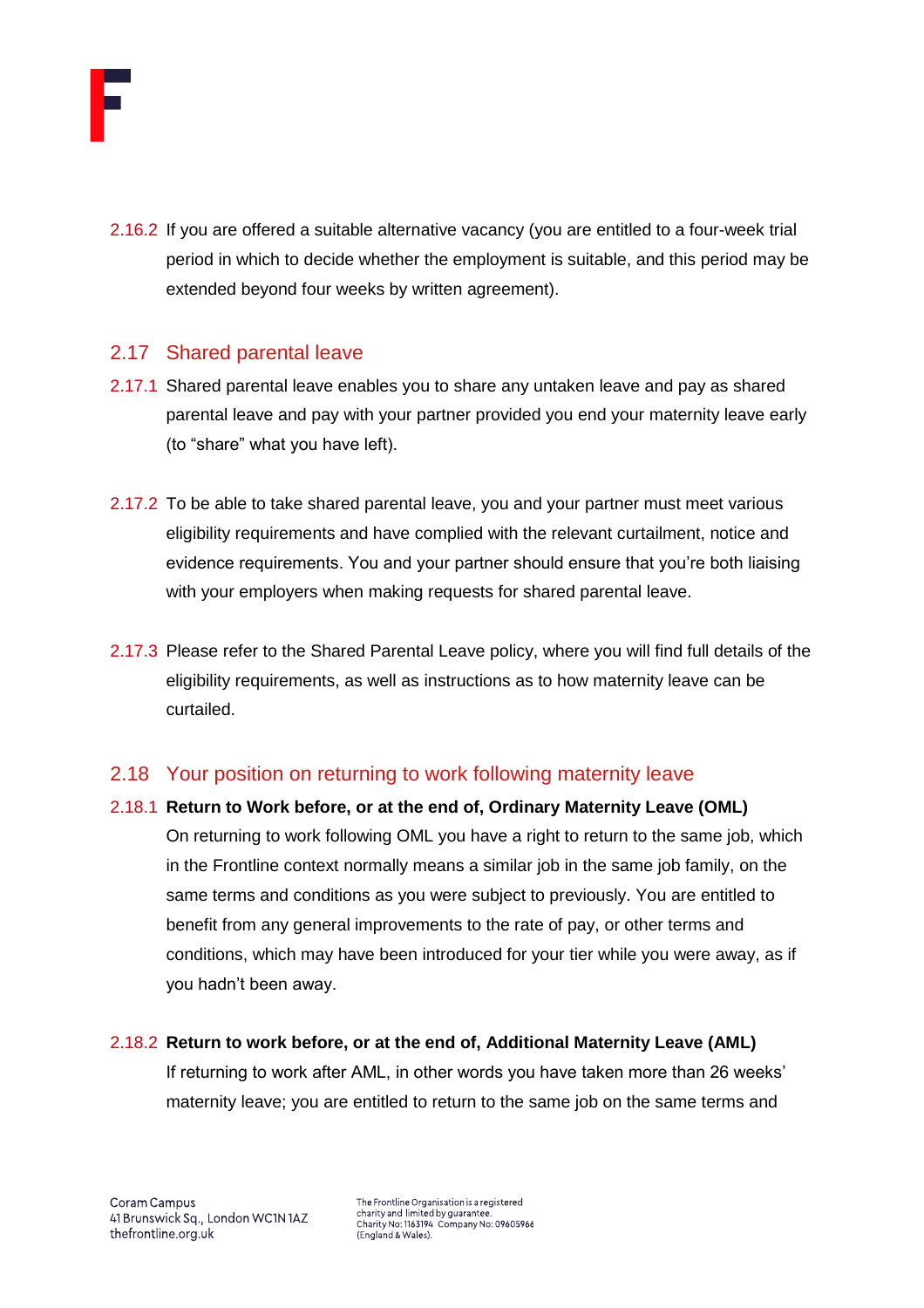

2.16.2 If you are offered a suitable alternative vacancy (you are entitled to a four-week trial period in which to decide whether the employment is suitable, and this period may be extended beyond four weeks by written agreement).

# <span id="page-22-0"></span>2.17 Shared parental leave

- 2.17.1 Shared parental leave enables you to share any untaken leave and pay as shared parental leave and pay with your partner provided you end your maternity leave early (to "share" what you have left).
- 2.17.2 To be able to take shared parental leave, you and your partner must meet various eligibility requirements and have complied with the relevant curtailment, notice and evidence requirements. You and your partner should ensure that you're both liaising with your employers when making requests for shared parental leave.
- 2.17.3 Please refer to the Shared Parental Leave policy, where you will find full details of the eligibility requirements, as well as instructions as to how maternity leave can be curtailed.

# <span id="page-22-1"></span>2.18 Your position on returning to work following maternity leave

2.18.1 **Return to Work before, or at the end of, Ordinary Maternity Leave (OML)** On returning to work following OML you have a right to return to the same job, which in the Frontline context normally means a similar job in the same job family, on the same terms and conditions as you were subject to previously. You are entitled to benefit from any general improvements to the rate of pay, or other terms and conditions, which may have been introduced for your tier while you were away, as if you hadn't been away.

#### 2.18.2 **Return to work before, or at the end of, Additional Maternity Leave (AML)**

If returning to work after AML, in other words you have taken more than 26 weeks' maternity leave; you are entitled to return to the same job on the same terms and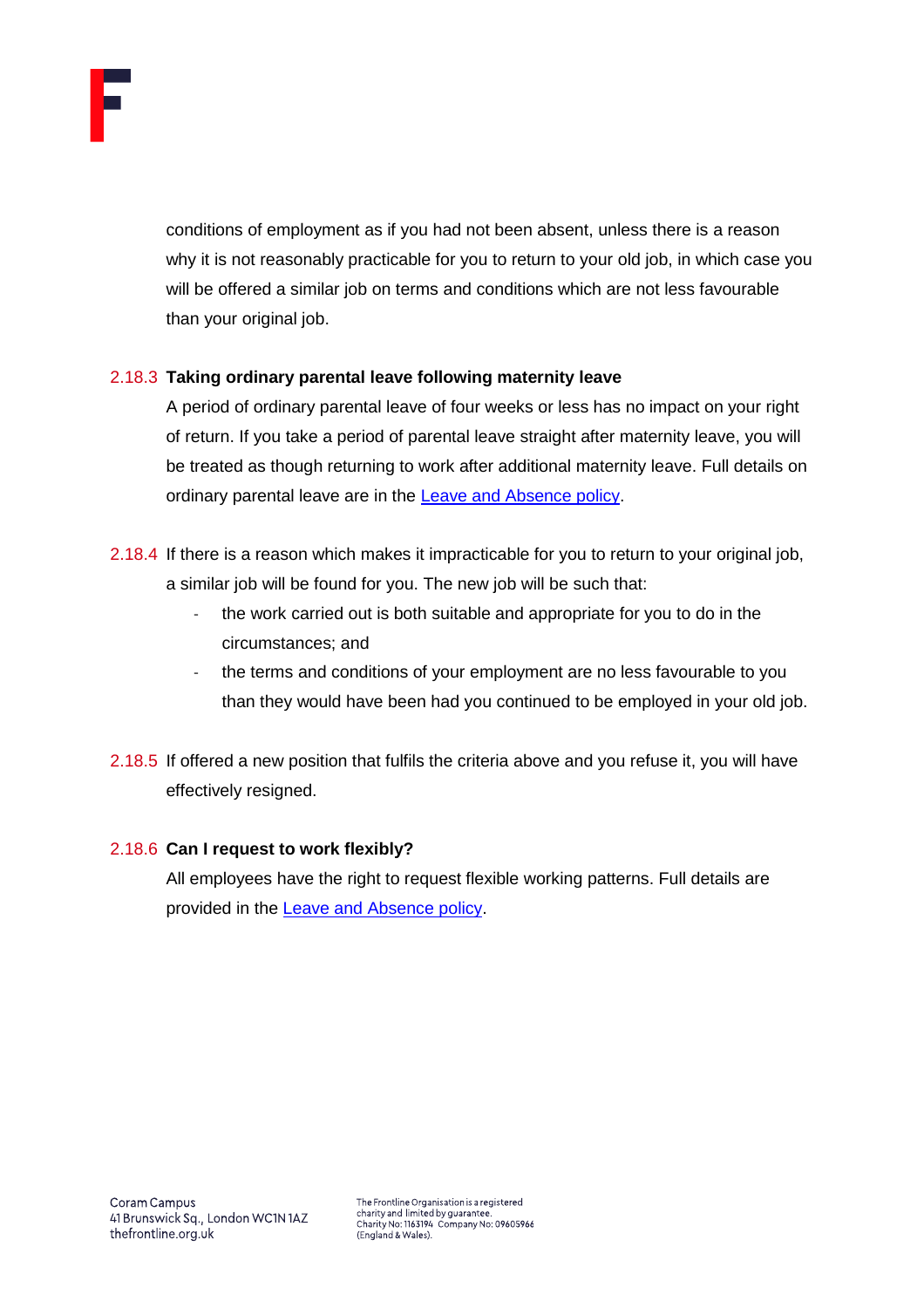

conditions of employment as if you had not been absent, unless there is a reason why it is not reasonably practicable for you to return to your old job, in which case you will be offered a similar job on terms and conditions which are not less favourable than your original job.

# 2.18.3 **Taking ordinary parental leave following maternity leave**

A period of ordinary parental leave of four weeks or less has no impact on your right of return. If you take a period of parental leave straight after maternity leave, you will be treated as though returning to work after additional maternity leave. Full details on ordinary parental leave are in the **Leave and Absence policy**.

- 2.18.4 If there is a reason which makes it impracticable for you to return to your original job, a similar job will be found for you. The new job will be such that:
	- the work carried out is both suitable and appropriate for you to do in the circumstances; and
	- the terms and conditions of your employment are no less favourable to you than they would have been had you continued to be employed in your old job.
- 2.18.5 If offered a new position that fulfils the criteria above and you refuse it, you will have effectively resigned.

#### 2.18.6 **Can I request to work flexibly?**

All employees have the right to request flexible working patterns. Full details are provided in the [Leave and Absence policy.](https://thefrontline.sharepoint.com/sites/FBRB/Shared%20Documents/Operations/People/General/Leave%20and%20Absence%20Policy%20-%202021.04.pdf)